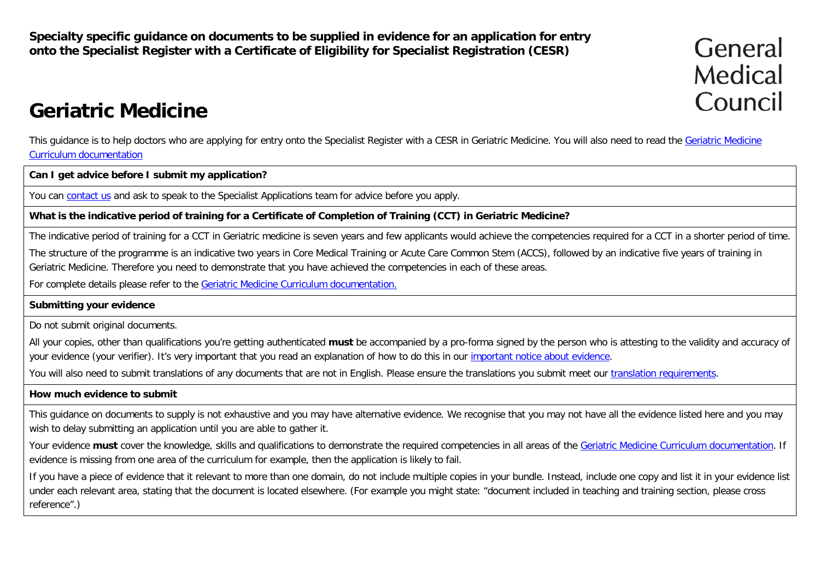**Specialty specific guidance on documents to be supplied in evidence for an application for entry onto the Specialist Register with a Certificate of Eligibility for Specialist Registration (CESR)**

General Medical Council

# **Geriatric Medicine**

This guidance is to help doctors who are applying for entry onto the Specialist Register with a CESR in [Geriatric Medicine](http://www.gmc-uk.org/education/postgraduate/geriatric_medicine.asp). You will also need to read the Geriatric Medicine [Curriculum documentation](http://www.gmc-uk.org/education/postgraduate/geriatric_medicine.asp)

**Can I get advice before I submit my application?**

You can [contact us](http://www.gmc-uk.org/contact.asp) and ask to speak to the Specialist Applications team for advice before you apply.

**What is the indicative period of training for a Certificate of Completion of Training (CCT) in Geriatric Medicine?**

The indicative period of training for a CCT in Geriatric medicine is seven years and few applicants would achieve the competencies required for a CCT in a shorter period of time.

The structure of the programme is an indicative two years in Core Medical Training or Acute Care Common Stem (ACCS), followed by an indicative five years of training in Geriatric Medicine. Therefore you need to demonstrate that you have achieved the competencies in each of these areas.

For complete details please refer to the [Geriatric Medicine Curriculum documentation.](http://www.gmc-uk.org/education/postgraduate/geriatric_medicine.asp)

**Submitting your evidence**

Do not submit original documents.

All your copies, other than qualifications you're getting authenticated **must** be accompanied by a pro-forma signed by the person who is attesting to the validity and accuracy of your evidence (your verifier). It's very important that you read an explanation of how to do this in our important [notice about evidence.](http://www.gmc-uk.org/doctors/evidence_notice.asp)

You will also need to submit translations of any documents that are not in English. Please ensure the translations you submit meet our [translation requirements.](http://www.gmc-uk.org/doctors/translations.asp)

#### **How much evidence to submit**

This guidance on documents to supply is not exhaustive and you may have alternative evidence. We recognise that you may not have all the evidence listed here and you may wish to delay submitting an application until you are able to gather it.

Your evidence **must** cover the knowledge, skills and qualifications to demonstrate the required competencies in all areas of the [Geriatric Medicine Curriculum documentation.](http://www.gmc-uk.org/education/postgraduate/geriatric_medicine.asp) If evidence is missing from one area of the curriculum for example, then the application is likely to fail.

If you have a piece of evidence that it relevant to more than one domain, do not include multiple copies in your bundle. Instead, include one copy and list it in your evidence list under each relevant area, stating that the document is located elsewhere. (For example you might state: "document included in teaching and training section, please cross reference".)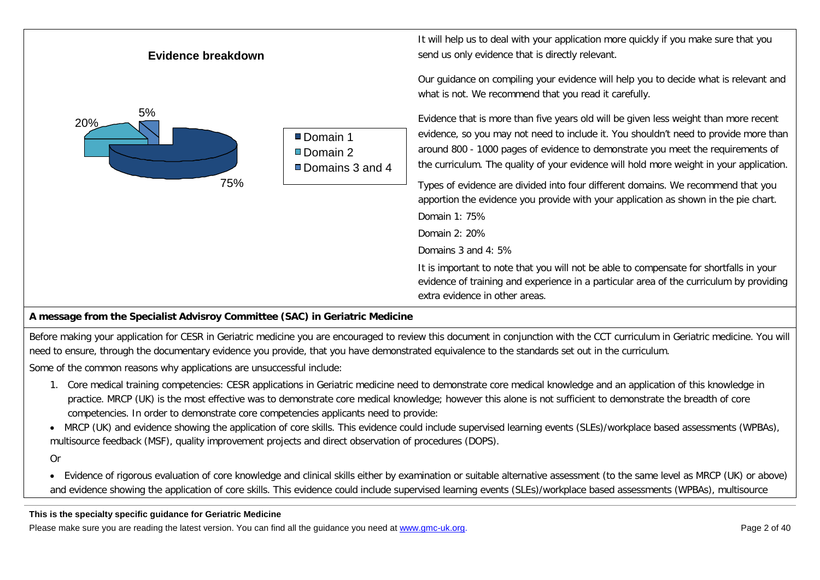| Evidence breakdown |                                            | It will help us to deal with your application more quickly if you make sure that you<br>send us only evidence that is directly relevant.                                                                                                                                                                                                                                                                                                                                                                                                                                                                                                                                                                                                        |
|--------------------|--------------------------------------------|-------------------------------------------------------------------------------------------------------------------------------------------------------------------------------------------------------------------------------------------------------------------------------------------------------------------------------------------------------------------------------------------------------------------------------------------------------------------------------------------------------------------------------------------------------------------------------------------------------------------------------------------------------------------------------------------------------------------------------------------------|
| 5%<br>20%<br>75%   | Domain 1<br>■Domain 2<br>■ Domains 3 and 4 | Our guidance on compiling your evidence will help you to decide what is relevant and<br>what is not. We recommend that you read it carefully.<br>Evidence that is more than five years old will be given less weight than more recent<br>evidence, so you may not need to include it. You shouldn't need to provide more than<br>around 800 - 1000 pages of evidence to demonstrate you meet the requirements of<br>the curriculum. The quality of your evidence will hold more weight in your application.<br>Types of evidence are divided into four different domains. We recommend that you<br>apportion the evidence you provide with your application as shown in the pie chart.<br>Domain 1: 75%<br>Domain 2: 20%<br>Domains 3 and 4: 5% |
|                    |                                            | It is important to note that you will not be able to compensate for shortfalls in your<br>evidence of training and experience in a particular area of the curriculum by providing<br>extra evidence in other areas.                                                                                                                                                                                                                                                                                                                                                                                                                                                                                                                             |

### **A message from the Specialist Advisroy Committee (SAC) in Geriatric Medicine**

Before making your application for CESR in Geriatric medicine you are encouraged to review this document in conjunction with the CCT curriculum in Geriatric medicine. You will need to ensure, through the documentary evidence you provide, that you have demonstrated equivalence to the standards set out in the curriculum.

Some of the common reasons why applications are unsuccessful include:

- 1. Core medical training competencies: CESR applications in Geriatric medicine need to demonstrate core medical knowledge and an application of this knowledge in practice. MRCP (UK) is the most effective was to demonstrate core medical knowledge; however this alone is not sufficient to demonstrate the breadth of core competencies. In order to demonstrate core competencies applicants need to provide:
- MRCP (UK) and evidence showing the application of core skills. This evidence could include supervised learning events (SLEs)/workplace based assessments (WPBAs), multisource feedback (MSF), quality improvement projects and direct observation of procedures (DOPS).

Or

• Evidence of rigorous evaluation of core knowledge and clinical skills either by examination or suitable alternative assessment (to the same level as MRCP (UK) or above) and evidence showing the application of core skills. This evidence could include supervised learning events (SLEs)/workplace based assessments (WPBAs), multisource

**This is the specialty specific guidance for Geriatric Medicine**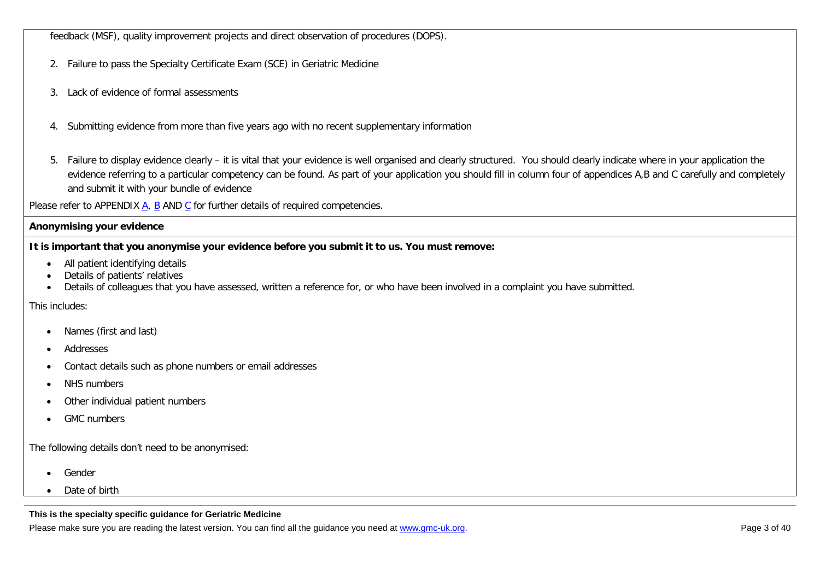feedback (MSF), quality improvement projects and direct observation of procedures (DOPS).

- 2. Failure to pass the Specialty Certificate Exam (SCE) in Geriatric Medicine
- 3. Lack of evidence of formal assessments
- 4. Submitting evidence from more than five years ago with no recent supplementary information
- 5. Failure to display evidence clearly it is vital that your evidence is well organised and clearly structured. You should clearly indicate where in your application the evidence referring to a particular competency can be found. As part of your application you should fill in column four of appendices A,B and C carefully and completely and submit it with your bundle of evidence

Please refer to APPENDIX [A,](#page-33-0) [B](#page-36-0) AND [C](#page-38-0) for further details of required competencies.

#### **Anonymising your evidence**

**It is important that you anonymise your evidence before you submit it to us. You must remove:**

- All patient identifying details
- Details of patients' relatives
- Details of colleagues that you have assessed, written a reference for, or who have been involved in a complaint you have submitted.

#### This includes:

- Names (first and last)
- Addresses
- Contact details such as phone numbers or email addresses
- NHS numbers
- Other individual patient numbers
- GMC numbers

The following details don't need to be anonymised:

- Gender
- Date of birth

#### **This is the specialty specific guidance for Geriatric Medicine**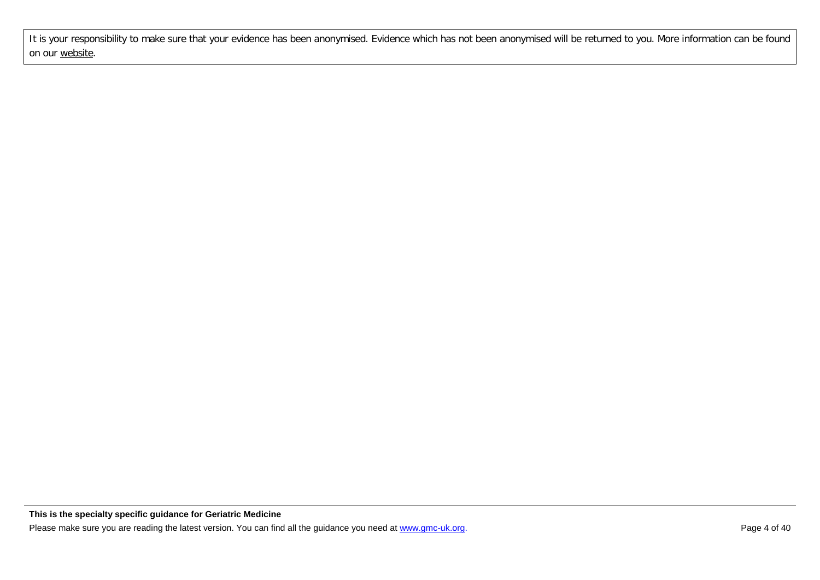It is your responsibility to make sure that your evidence has been anonymised. Evidence which has not been anonymised will be returned to you. More information can be found on our [website.](http://www.gmc-uk.org/doctors/24769.asp)

**This is the specialty specific guidance for Geriatric Medicine**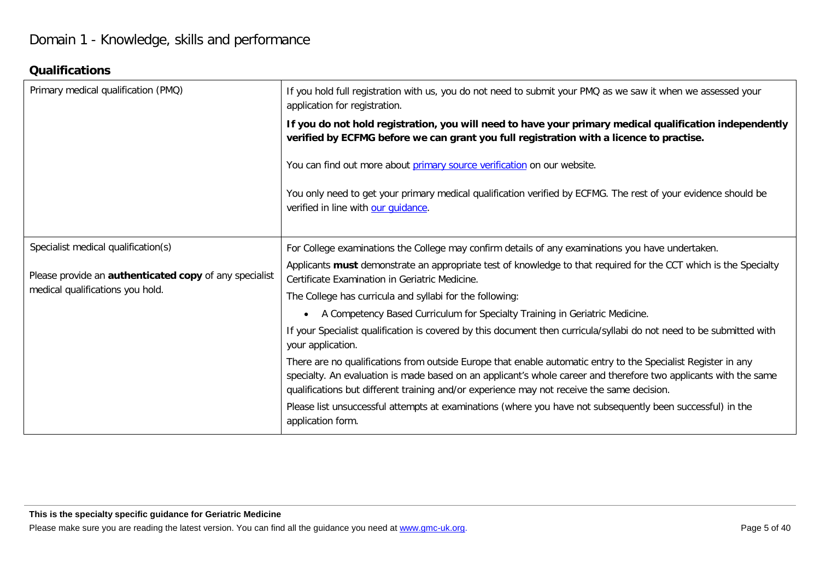## **Qualifications**

| Primary medical qualification (PMQ)                    | If you hold full registration with us, you do not need to submit your PMQ as we saw it when we assessed your<br>application for registration.                                                                                                                                                                                   |
|--------------------------------------------------------|---------------------------------------------------------------------------------------------------------------------------------------------------------------------------------------------------------------------------------------------------------------------------------------------------------------------------------|
|                                                        | If you do not hold registration, you will need to have your primary medical qualification independently<br>verified by ECFMG before we can grant you full registration with a licence to practise.                                                                                                                              |
|                                                        | You can find out more about primary source verification on our website.                                                                                                                                                                                                                                                         |
|                                                        | You only need to get your primary medical qualification verified by ECFMG. The rest of your evidence should be<br>verified in line with our quidance.                                                                                                                                                                           |
| Specialist medical qualification(s)                    | For College examinations the College may confirm details of any examinations you have undertaken.                                                                                                                                                                                                                               |
| Please provide an authenticated copy of any specialist | Applicants must demonstrate an appropriate test of knowledge to that required for the CCT which is the Specialty<br>Certificate Examination in Geriatric Medicine.                                                                                                                                                              |
| medical qualifications you hold.                       | The College has curricula and syllabi for the following:                                                                                                                                                                                                                                                                        |
|                                                        | A Competency Based Curriculum for Specialty Training in Geriatric Medicine.<br>$\bullet$                                                                                                                                                                                                                                        |
|                                                        | If your Specialist qualification is covered by this document then curricula/syllabi do not need to be submitted with<br>your application.                                                                                                                                                                                       |
|                                                        | There are no qualifications from outside Europe that enable automatic entry to the Specialist Register in any<br>specialty. An evaluation is made based on an applicant's whole career and therefore two applicants with the same<br>qualifications but different training and/or experience may not receive the same decision. |
|                                                        | Please list unsuccessful attempts at examinations (where you have not subsequently been successful) in the<br>application form.                                                                                                                                                                                                 |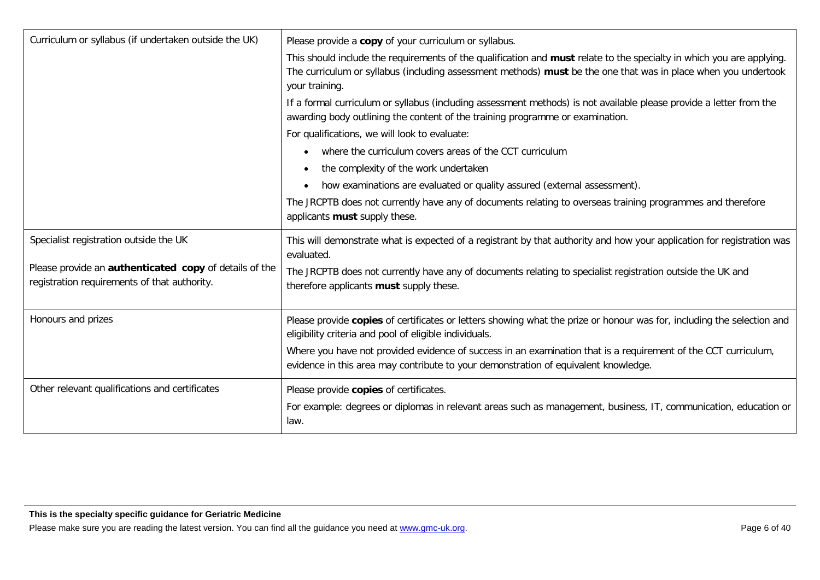| Curriculum or syllabus (if undertaken outside the UK)                                                  | Please provide a copy of your curriculum or syllabus.                                                                                                                                                                                                     |
|--------------------------------------------------------------------------------------------------------|-----------------------------------------------------------------------------------------------------------------------------------------------------------------------------------------------------------------------------------------------------------|
|                                                                                                        | This should include the requirements of the qualification and must relate to the specialty in which you are applying.<br>The curriculum or syllabus (including assessment methods) must be the one that was in place when you undertook<br>your training. |
|                                                                                                        | If a formal curriculum or syllabus (including assessment methods) is not available please provide a letter from the<br>awarding body outlining the content of the training programme or examination.                                                      |
|                                                                                                        | For qualifications, we will look to evaluate:                                                                                                                                                                                                             |
|                                                                                                        | where the curriculum covers areas of the CCT curriculum<br>$\bullet$                                                                                                                                                                                      |
|                                                                                                        | the complexity of the work undertaken                                                                                                                                                                                                                     |
|                                                                                                        | how examinations are evaluated or quality assured (external assessment).<br>$\bullet$                                                                                                                                                                     |
|                                                                                                        | The JRCPTB does not currently have any of documents relating to overseas training programmes and therefore<br>applicants must supply these.                                                                                                               |
| Specialist registration outside the UK                                                                 | This will demonstrate what is expected of a registrant by that authority and how your application for registration was                                                                                                                                    |
|                                                                                                        | evaluated.                                                                                                                                                                                                                                                |
| Please provide an authenticated copy of details of the<br>registration requirements of that authority. | The JRCPTB does not currently have any of documents relating to specialist registration outside the UK and<br>therefore applicants must supply these.                                                                                                     |
| Honours and prizes                                                                                     | Please provide copies of certificates or letters showing what the prize or honour was for, including the selection and<br>eligibility criteria and pool of eligible individuals.                                                                          |
|                                                                                                        | Where you have not provided evidence of success in an examination that is a requirement of the CCT curriculum,<br>evidence in this area may contribute to your demonstration of equivalent knowledge.                                                     |
| Other relevant qualifications and certificates                                                         | Please provide copies of certificates.<br>For example: degrees or diplomas in relevant areas such as management, business, IT, communication, education or<br>law.                                                                                        |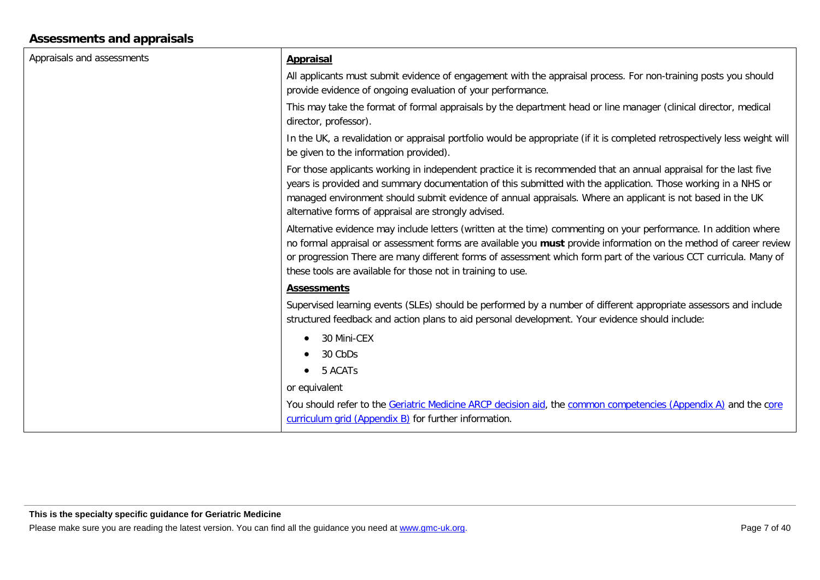## **Assessments and appraisals**

| Appraisals and assessments | <b>Appraisal</b>                                                                                                                                                                                                                                                                                                                                                                                                          |
|----------------------------|---------------------------------------------------------------------------------------------------------------------------------------------------------------------------------------------------------------------------------------------------------------------------------------------------------------------------------------------------------------------------------------------------------------------------|
|                            | All applicants must submit evidence of engagement with the appraisal process. For non-training posts you should                                                                                                                                                                                                                                                                                                           |
|                            | provide evidence of ongoing evaluation of your performance.                                                                                                                                                                                                                                                                                                                                                               |
|                            | This may take the format of formal appraisals by the department head or line manager (clinical director, medical<br>director, professor).                                                                                                                                                                                                                                                                                 |
|                            | In the UK, a revalidation or appraisal portfolio would be appropriate (if it is completed retrospectively less weight will<br>be given to the information provided).                                                                                                                                                                                                                                                      |
|                            | For those applicants working in independent practice it is recommended that an annual appraisal for the last five<br>years is provided and summary documentation of this submitted with the application. Those working in a NHS or<br>managed environment should submit evidence of annual appraisals. Where an applicant is not based in the UK<br>alternative forms of appraisal are strongly advised.                  |
|                            | Alternative evidence may include letters (written at the time) commenting on your performance. In addition where<br>no formal appraisal or assessment forms are available you must provide information on the method of career review<br>or progression There are many different forms of assessment which form part of the various CCT curricula. Many of<br>these tools are available for those not in training to use. |
|                            | <b>Assessments</b>                                                                                                                                                                                                                                                                                                                                                                                                        |
|                            | Supervised learning events (SLEs) should be performed by a number of different appropriate assessors and include<br>structured feedback and action plans to aid personal development. Your evidence should include:                                                                                                                                                                                                       |
|                            | 30 Mini-CEX<br>$\bullet$                                                                                                                                                                                                                                                                                                                                                                                                  |
|                            | 30 CbDs                                                                                                                                                                                                                                                                                                                                                                                                                   |
|                            | 5 ACATs                                                                                                                                                                                                                                                                                                                                                                                                                   |
|                            | or equivalent                                                                                                                                                                                                                                                                                                                                                                                                             |
|                            | You should refer to the Geriatric Medicine ARCP decision aid, the common competencies (Appendix A) and the core<br>curriculum grid (Appendix B) for further information.                                                                                                                                                                                                                                                  |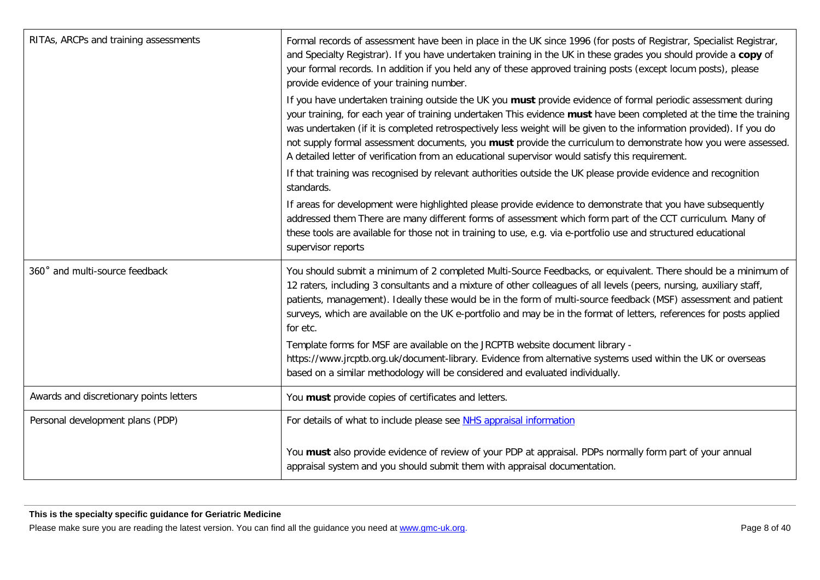| RITAs, ARCPs and training assessments   | Formal records of assessment have been in place in the UK since 1996 (for posts of Registrar, Specialist Registrar,<br>and Specialty Registrar). If you have undertaken training in the UK in these grades you should provide a copy of<br>your formal records. In addition if you held any of these approved training posts (except locum posts), please<br>provide evidence of your training number.                                                                                                                                                                            |
|-----------------------------------------|-----------------------------------------------------------------------------------------------------------------------------------------------------------------------------------------------------------------------------------------------------------------------------------------------------------------------------------------------------------------------------------------------------------------------------------------------------------------------------------------------------------------------------------------------------------------------------------|
|                                         | If you have undertaken training outside the UK you must provide evidence of formal periodic assessment during<br>your training, for each year of training undertaken This evidence must have been completed at the time the training<br>was undertaken (if it is completed retrospectively less weight will be given to the information provided). If you do<br>not supply formal assessment documents, you must provide the curriculum to demonstrate how you were assessed.<br>A detailed letter of verification from an educational supervisor would satisfy this requirement. |
|                                         | If that training was recognised by relevant authorities outside the UK please provide evidence and recognition<br>standards.                                                                                                                                                                                                                                                                                                                                                                                                                                                      |
|                                         | If areas for development were highlighted please provide evidence to demonstrate that you have subsequently<br>addressed them There are many different forms of assessment which form part of the CCT curriculum. Many of<br>these tools are available for those not in training to use, e.g. via e-portfolio use and structured educational<br>supervisor reports                                                                                                                                                                                                                |
| 360° and multi-source feedback          | You should submit a minimum of 2 completed Multi-Source Feedbacks, or equivalent. There should be a minimum of<br>12 raters, including 3 consultants and a mixture of other colleagues of all levels (peers, nursing, auxiliary staff,<br>patients, management). Ideally these would be in the form of multi-source feedback (MSF) assessment and patient<br>surveys, which are available on the UK e-portfolio and may be in the format of letters, references for posts applied<br>for etc.                                                                                     |
|                                         | Template forms for MSF are available on the JRCPTB website document library -<br>https://www.jrcptb.org.uk/document-library. Evidence from alternative systems used within the UK or overseas<br>based on a similar methodology will be considered and evaluated individually.                                                                                                                                                                                                                                                                                                    |
| Awards and discretionary points letters | You must provide copies of certificates and letters.                                                                                                                                                                                                                                                                                                                                                                                                                                                                                                                              |
| Personal development plans (PDP)        | For details of what to include please see NHS appraisal information                                                                                                                                                                                                                                                                                                                                                                                                                                                                                                               |
|                                         | You must also provide evidence of review of your PDP at appraisal. PDPs normally form part of your annual<br>appraisal system and you should submit them with appraisal documentation.                                                                                                                                                                                                                                                                                                                                                                                            |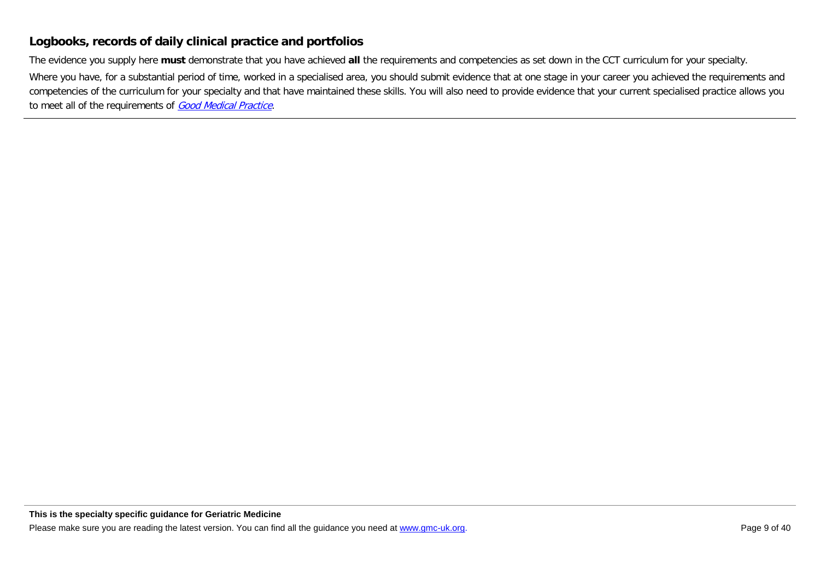### **Logbooks, records of daily clinical practice and portfolios**

The evidence you supply here **must** demonstrate that you have achieved **all** the requirements and competencies as set down in the CCT curriculum for your specialty.

Where you have, for a substantial period of time, worked in a specialised area, you should submit evidence that at one stage in your career you achieved the requirements and competencies of the curriculum for your specialty and that have maintained these skills. You will also need to provide evidence that your current specialised practice allows you to meet all of the requirements of [Good Medical Practice](http://www.gmc-uk.org/guidance/good_medical_practice.asp).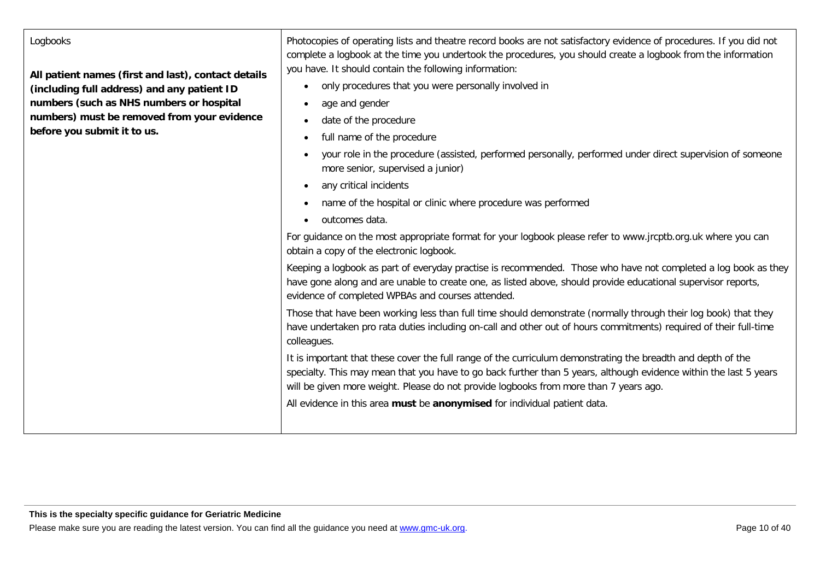#### Logbooks

**All patient names (first and last), contact details (including full address) and any patient ID numbers (such as NHS numbers or hospital numbers) must be removed from your evidence before you submit it to us.**

Photocopies of operating lists and theatre record books are not satisfactory evidence of procedures. If you did not complete a logbook at the time you undertook the procedures, you should create a logbook from the information you have. It should contain the following information:

- only procedures that you were personally involved in
- age and gender
- date of the procedure
- full name of the procedure
- your role in the procedure (assisted, performed personally, performed under direct supervision of someone more senior, supervised a junior)
- any critical incidents
- name of the hospital or clinic where procedure was performed
- outcomes data.

For guidance on the most appropriate format for your logbook please refer to www.jrcptb.org.uk where you can obtain a copy of the electronic logbook.

Keeping a logbook as part of everyday practise is recommended. Those who have not completed a log book as they have gone along and are unable to create one, as listed above, should provide educational supervisor reports, evidence of completed WPBAs and courses attended.

Those that have been working less than full time should demonstrate (normally through their log book) that they have undertaken pro rata duties including on-call and other out of hours commitments) required of their full-time colleagues.

It is important that these cover the full range of the curriculum demonstrating the breadth and depth of the specialty. This may mean that you have to go back further than 5 years, although evidence within the last 5 years will be given more weight. Please do not provide logbooks from more than 7 years ago.

All evidence in this area **must** be **anonymised** for individual patient data.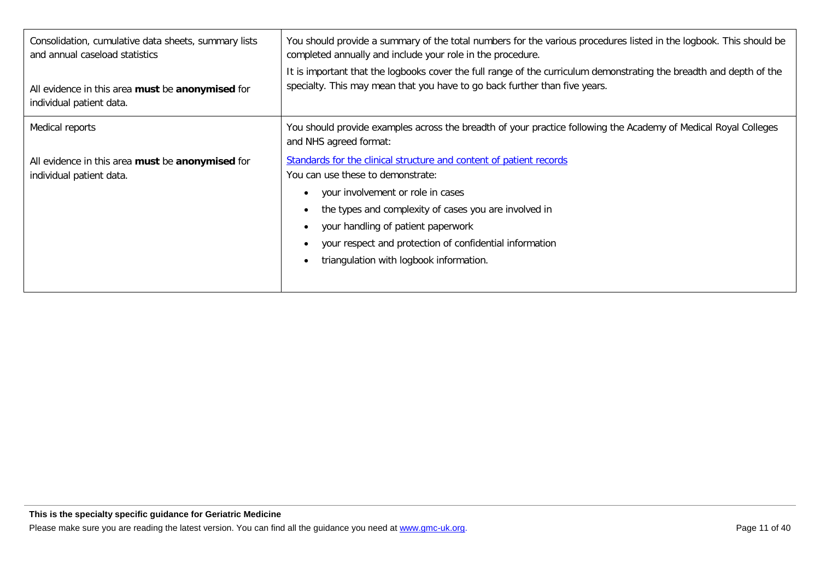| Consolidation, cumulative data sheets, summary lists<br>and annual caseload statistics<br>All evidence in this area must be anonymised for<br>individual patient data. | You should provide a summary of the total numbers for the various procedures listed in the logbook. This should be<br>completed annually and include your role in the procedure.<br>It is important that the logbooks cover the full range of the curriculum demonstrating the breadth and depth of the<br>specialty. This may mean that you have to go back further than five years. |
|------------------------------------------------------------------------------------------------------------------------------------------------------------------------|---------------------------------------------------------------------------------------------------------------------------------------------------------------------------------------------------------------------------------------------------------------------------------------------------------------------------------------------------------------------------------------|
| Medical reports                                                                                                                                                        | You should provide examples across the breadth of your practice following the Academy of Medical Royal Colleges<br>and NHS agreed format:                                                                                                                                                                                                                                             |
| All evidence in this area must be anonymised for<br>individual patient data.                                                                                           | Standards for the clinical structure and content of patient records<br>You can use these to demonstrate:<br>your involvement or role in cases<br>the types and complexity of cases you are involved in<br>your handling of patient paperwork<br>your respect and protection of confidential information<br>triangulation with logbook information.                                    |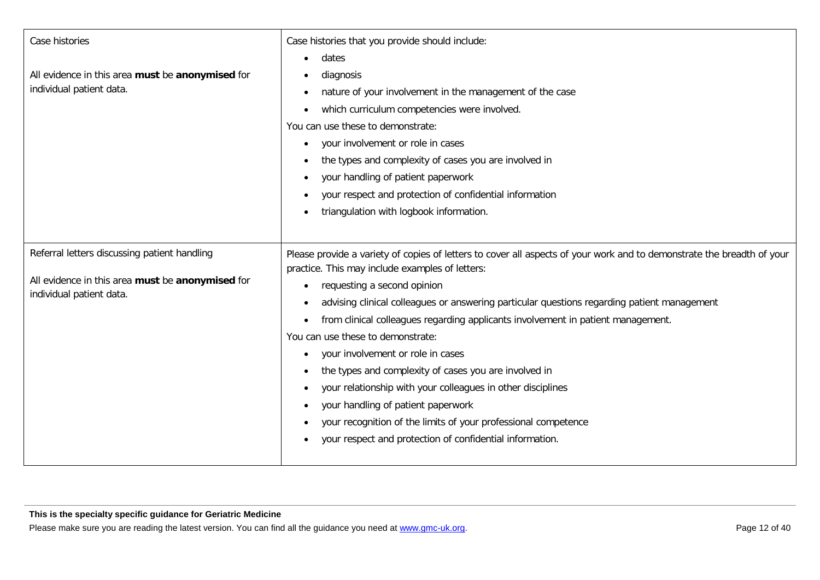| Case histories<br>All evidence in this area must be anonymised for<br>individual patient data.                               | Case histories that you provide should include:<br>dates<br>diagnosis<br>nature of your involvement in the management of the case<br>which curriculum competencies were involved.<br>You can use these to demonstrate:<br>your involvement or role in cases<br>the types and complexity of cases you are involved in<br>your handling of patient paperwork<br>your respect and protection of confidential information<br>٠<br>triangulation with logbook information.                                                                                                                                                                                                                                                                                                               |
|------------------------------------------------------------------------------------------------------------------------------|-------------------------------------------------------------------------------------------------------------------------------------------------------------------------------------------------------------------------------------------------------------------------------------------------------------------------------------------------------------------------------------------------------------------------------------------------------------------------------------------------------------------------------------------------------------------------------------------------------------------------------------------------------------------------------------------------------------------------------------------------------------------------------------|
| Referral letters discussing patient handling<br>All evidence in this area must be anonymised for<br>individual patient data. | Please provide a variety of copies of letters to cover all aspects of your work and to demonstrate the breadth of your<br>practice. This may include examples of letters:<br>requesting a second opinion<br>advising clinical colleagues or answering particular questions regarding patient management<br>from clinical colleagues regarding applicants involvement in patient management.<br>You can use these to demonstrate:<br>your involvement or role in cases<br>the types and complexity of cases you are involved in<br>٠<br>your relationship with your colleagues in other disciplines<br>your handling of patient paperwork<br>$\bullet$<br>your recognition of the limits of your professional competence<br>your respect and protection of confidential information. |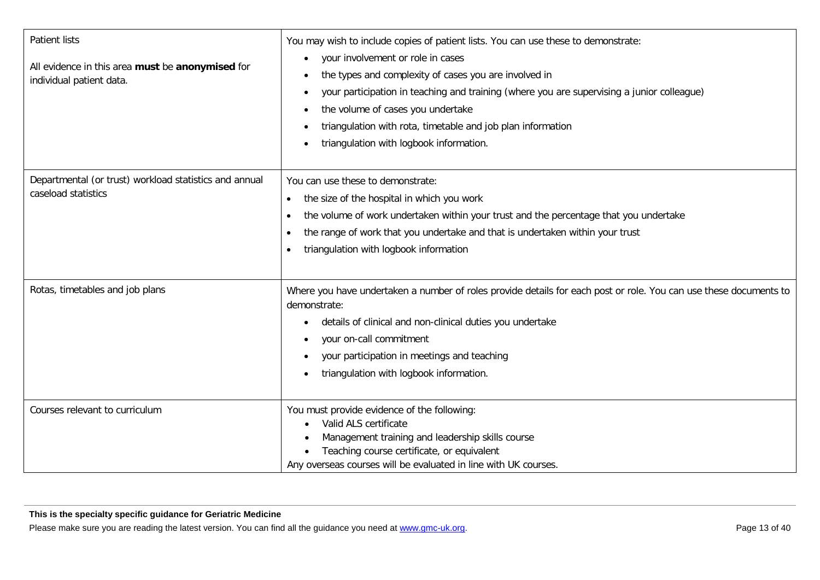| <b>Patient lists</b><br>All evidence in this area must be anonymised for<br>individual patient data. | You may wish to include copies of patient lists. You can use these to demonstrate:<br>your involvement or role in cases<br>$\bullet$<br>the types and complexity of cases you are involved in<br>your participation in teaching and training (where you are supervising a junior colleague)<br>$\bullet$<br>the volume of cases you undertake<br>$\bullet$<br>triangulation with rota, timetable and job plan information<br>$\bullet$<br>triangulation with logbook information. |
|------------------------------------------------------------------------------------------------------|-----------------------------------------------------------------------------------------------------------------------------------------------------------------------------------------------------------------------------------------------------------------------------------------------------------------------------------------------------------------------------------------------------------------------------------------------------------------------------------|
| Departmental (or trust) workload statistics and annual<br>caseload statistics                        | You can use these to demonstrate:<br>the size of the hospital in which you work<br>$\bullet$<br>the volume of work undertaken within your trust and the percentage that you undertake<br>$\bullet$<br>the range of work that you undertake and that is undertaken within your trust<br>$\bullet$<br>triangulation with logbook information<br>$\bullet$                                                                                                                           |
| Rotas, timetables and job plans                                                                      | Where you have undertaken a number of roles provide details for each post or role. You can use these documents to<br>demonstrate:<br>details of clinical and non-clinical duties you undertake<br>$\bullet$<br>your on-call commitment<br>$\bullet$<br>your participation in meetings and teaching<br>triangulation with logbook information.<br>$\bullet$                                                                                                                        |
| Courses relevant to curriculum                                                                       | You must provide evidence of the following:<br>Valid ALS certificate<br>Management training and leadership skills course<br>Teaching course certificate, or equivalent<br>Any overseas courses will be evaluated in line with UK courses.                                                                                                                                                                                                                                         |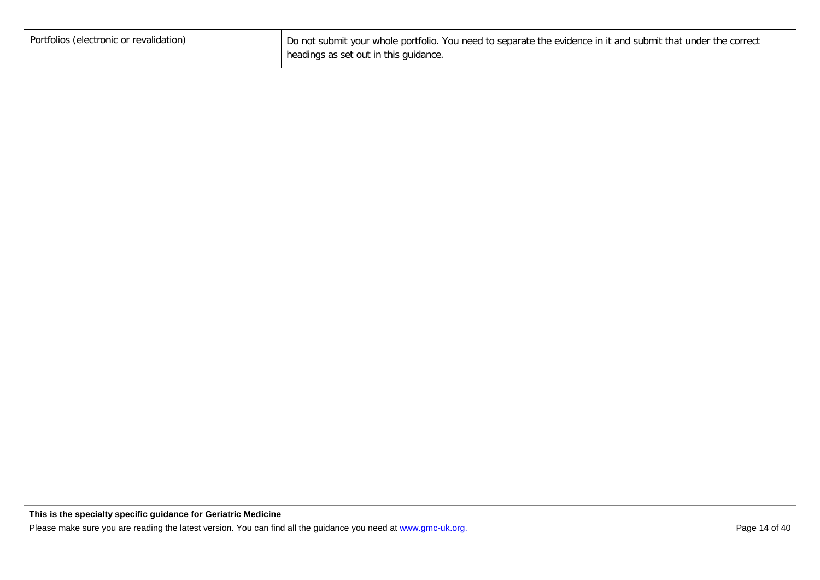| Portfolios (electronic or revalidation) | Do not submit your whole portfolio. You need to separate the evidence in it and submit that under the correct |
|-----------------------------------------|---------------------------------------------------------------------------------------------------------------|
|                                         | headings as set out in this guidance.                                                                         |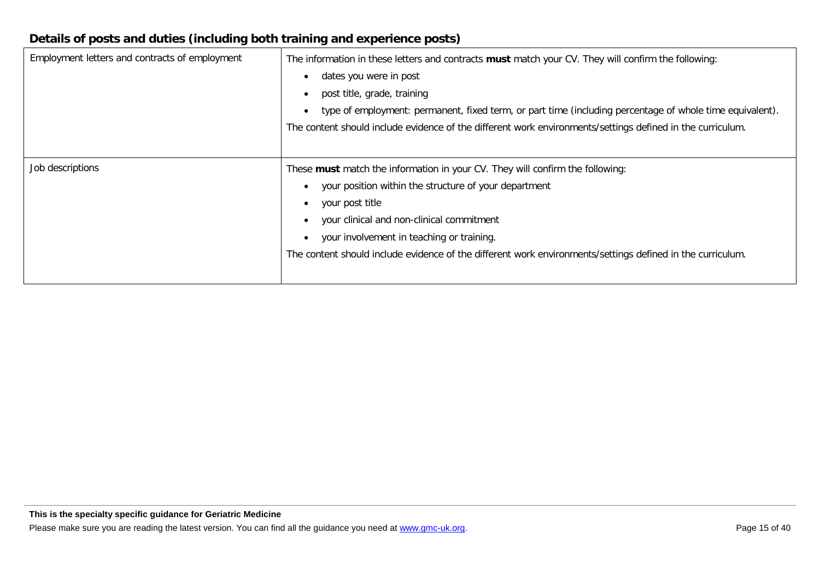## **Details of posts and duties (including both training and experience posts)**

| Employment letters and contracts of employment | The information in these letters and contracts must match your CV. They will confirm the following:<br>dates you were in post<br>post title, grade, training<br>type of employment: permanent, fixed term, or part time (including percentage of whole time equivalent).<br>The content should include evidence of the different work environments/settings defined in the curriculum. |
|------------------------------------------------|----------------------------------------------------------------------------------------------------------------------------------------------------------------------------------------------------------------------------------------------------------------------------------------------------------------------------------------------------------------------------------------|
| Job descriptions                               | These must match the information in your CV. They will confirm the following:<br>your position within the structure of your department<br>your post title<br>your clinical and non-clinical commitment<br>your involvement in teaching or training.<br>The content should include evidence of the different work environments/settings defined in the curriculum.                      |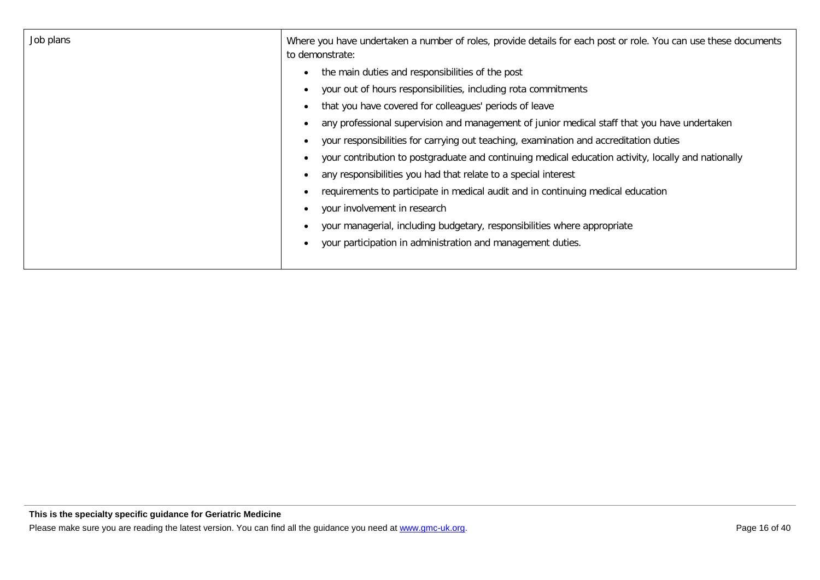| Job plans | Where you have undertaken a number of roles, provide details for each post or role. You can use these documents<br>to demonstrate: |
|-----------|------------------------------------------------------------------------------------------------------------------------------------|
|           | the main duties and responsibilities of the post<br>$\bullet$                                                                      |
|           | your out of hours responsibilities, including rota commitments                                                                     |
|           | that you have covered for colleagues' periods of leave                                                                             |
|           | any professional supervision and management of junior medical staff that you have undertaken                                       |
|           | your responsibilities for carrying out teaching, examination and accreditation duties                                              |
|           | your contribution to postgraduate and continuing medical education activity, locally and nationally                                |
|           | any responsibilities you had that relate to a special interest                                                                     |
|           | requirements to participate in medical audit and in continuing medical education                                                   |
|           | your involvement in research                                                                                                       |
|           | your managerial, including budgetary, responsibilities where appropriate                                                           |
|           | your participation in administration and management duties.                                                                        |
|           |                                                                                                                                    |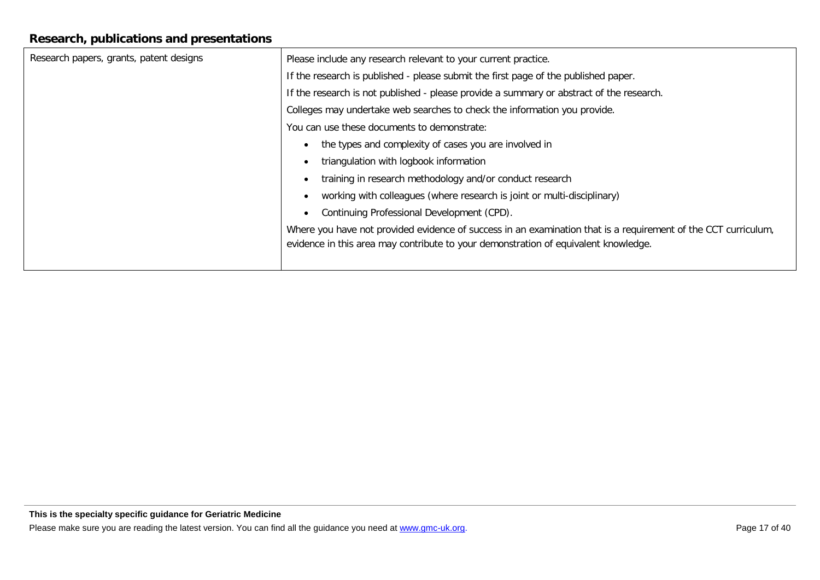## **Research, publications and presentations**

| Research papers, grants, patent designs | Please include any research relevant to your current practice.                                                 |
|-----------------------------------------|----------------------------------------------------------------------------------------------------------------|
|                                         | If the research is published - please submit the first page of the published paper.                            |
|                                         | If the research is not published - please provide a summary or abstract of the research.                       |
|                                         | Colleges may undertake web searches to check the information you provide.                                      |
|                                         | You can use these documents to demonstrate:                                                                    |
|                                         | the types and complexity of cases you are involved in<br>$\bullet$                                             |
|                                         | triangulation with logbook information                                                                         |
|                                         | training in research methodology and/or conduct research<br>$\bullet$                                          |
|                                         | working with colleagues (where research is joint or multi-disciplinary)<br>$\bullet$                           |
|                                         | Continuing Professional Development (CPD).<br>$\bullet$                                                        |
|                                         | Where you have not provided evidence of success in an examination that is a requirement of the CCT curriculum, |
|                                         | evidence in this area may contribute to your demonstration of equivalent knowledge.                            |
|                                         |                                                                                                                |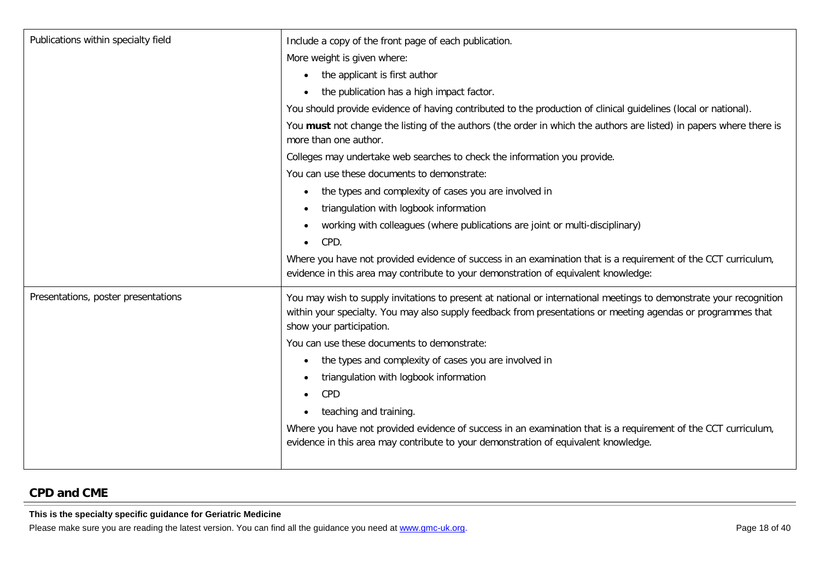| Publications within specialty field | Include a copy of the front page of each publication.                                                                                                                                                                                                           |
|-------------------------------------|-----------------------------------------------------------------------------------------------------------------------------------------------------------------------------------------------------------------------------------------------------------------|
|                                     | More weight is given where:                                                                                                                                                                                                                                     |
|                                     | the applicant is first author<br>$\bullet$                                                                                                                                                                                                                      |
|                                     | the publication has a high impact factor.                                                                                                                                                                                                                       |
|                                     | You should provide evidence of having contributed to the production of clinical guidelines (local or national).                                                                                                                                                 |
|                                     | You must not change the listing of the authors (the order in which the authors are listed) in papers where there is<br>more than one author.                                                                                                                    |
|                                     | Colleges may undertake web searches to check the information you provide.                                                                                                                                                                                       |
|                                     | You can use these documents to demonstrate:                                                                                                                                                                                                                     |
|                                     | the types and complexity of cases you are involved in<br>$\bullet$                                                                                                                                                                                              |
|                                     | triangulation with logbook information<br>$\bullet$                                                                                                                                                                                                             |
|                                     | working with colleagues (where publications are joint or multi-disciplinary)                                                                                                                                                                                    |
|                                     | CPD.<br>$\bullet$                                                                                                                                                                                                                                               |
|                                     | Where you have not provided evidence of success in an examination that is a requirement of the CCT curriculum,<br>evidence in this area may contribute to your demonstration of equivalent knowledge:                                                           |
| Presentations, poster presentations | You may wish to supply invitations to present at national or international meetings to demonstrate your recognition<br>within your specialty. You may also supply feedback from presentations or meeting agendas or programmes that<br>show your participation. |
|                                     | You can use these documents to demonstrate:                                                                                                                                                                                                                     |
|                                     | the types and complexity of cases you are involved in<br>٠                                                                                                                                                                                                      |
|                                     | triangulation with logbook information                                                                                                                                                                                                                          |
|                                     | CPD<br>$\bullet$                                                                                                                                                                                                                                                |
|                                     | teaching and training.                                                                                                                                                                                                                                          |
|                                     | Where you have not provided evidence of success in an examination that is a requirement of the CCT curriculum,                                                                                                                                                  |
|                                     | evidence in this area may contribute to your demonstration of equivalent knowledge.                                                                                                                                                                             |
|                                     |                                                                                                                                                                                                                                                                 |

## **CPD and CME**

**This is the specialty specific guidance for Geriatric Medicine**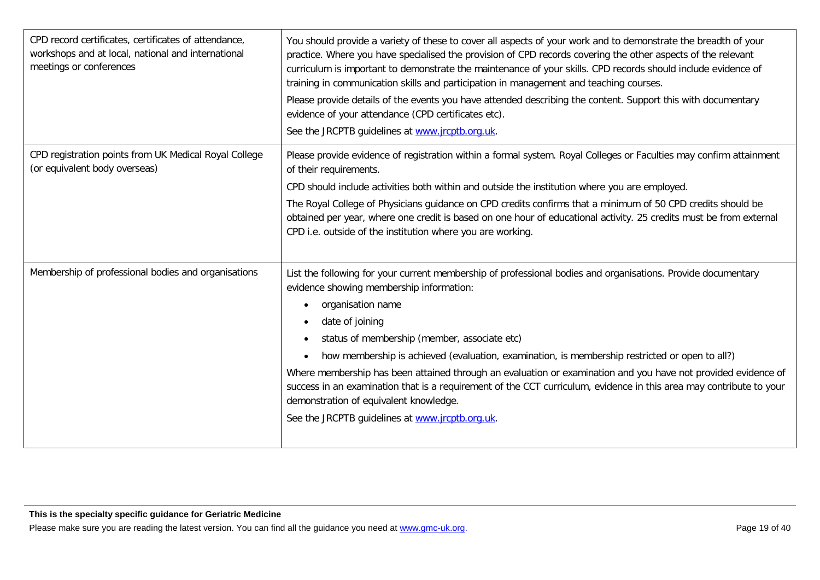| CPD record certificates, certificates of attendance,<br>workshops and at local, national and international<br>meetings or conferences | You should provide a variety of these to cover all aspects of your work and to demonstrate the breadth of your<br>practice. Where you have specialised the provision of CPD records covering the other aspects of the relevant<br>curriculum is important to demonstrate the maintenance of your skills. CPD records should include evidence of<br>training in communication skills and participation in management and teaching courses.<br>Please provide details of the events you have attended describing the content. Support this with documentary<br>evidence of your attendance (CPD certificates etc).<br>See the JRCPTB guidelines at www.jrcptb.org.uk.                                                            |
|---------------------------------------------------------------------------------------------------------------------------------------|--------------------------------------------------------------------------------------------------------------------------------------------------------------------------------------------------------------------------------------------------------------------------------------------------------------------------------------------------------------------------------------------------------------------------------------------------------------------------------------------------------------------------------------------------------------------------------------------------------------------------------------------------------------------------------------------------------------------------------|
| CPD registration points from UK Medical Royal College<br>(or equivalent body overseas)                                                | Please provide evidence of registration within a formal system. Royal Colleges or Faculties may confirm attainment<br>of their requirements.<br>CPD should include activities both within and outside the institution where you are employed.<br>The Royal College of Physicians guidance on CPD credits confirms that a minimum of 50 CPD credits should be<br>obtained per year, where one credit is based on one hour of educational activity. 25 credits must be from external<br>CPD i.e. outside of the institution where you are working.                                                                                                                                                                               |
| Membership of professional bodies and organisations                                                                                   | List the following for your current membership of professional bodies and organisations. Provide documentary<br>evidence showing membership information:<br>organisation name<br>$\bullet$<br>date of joining<br>$\bullet$<br>status of membership (member, associate etc)<br>$\bullet$<br>how membership is achieved (evaluation, examination, is membership restricted or open to all?)<br>Where membership has been attained through an evaluation or examination and you have not provided evidence of<br>success in an examination that is a requirement of the CCT curriculum, evidence in this area may contribute to your<br>demonstration of equivalent knowledge.<br>See the JRCPTB guidelines at www.jrcptb.org.uk. |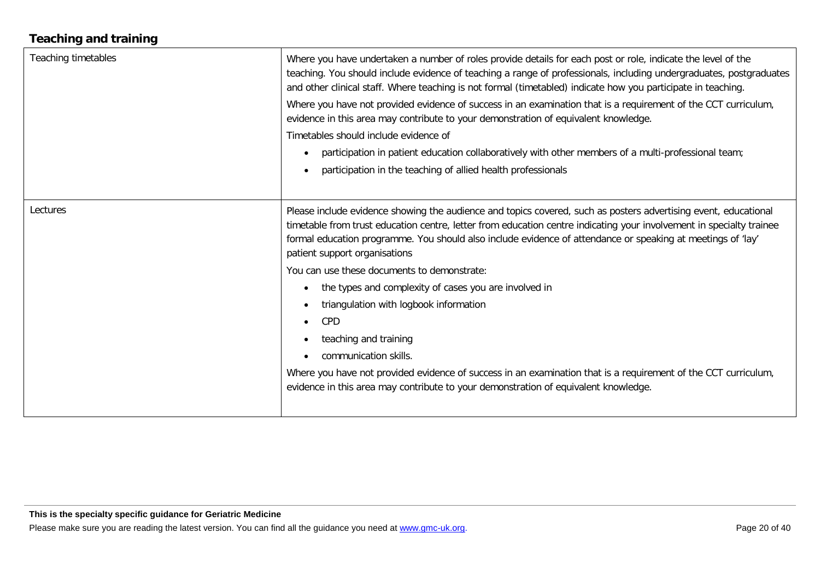## **Teaching and training**

| Teaching timetables | Where you have undertaken a number of roles provide details for each post or role, indicate the level of the<br>teaching. You should include evidence of teaching a range of professionals, including undergraduates, postgraduates<br>and other clinical staff. Where teaching is not formal (timetabled) indicate how you participate in teaching.<br>Where you have not provided evidence of success in an examination that is a requirement of the CCT curriculum,<br>evidence in this area may contribute to your demonstration of equivalent knowledge.<br>Timetables should include evidence of<br>participation in patient education collaboratively with other members of a multi-professional team;<br>$\bullet$<br>participation in the teaching of allied health professionals                                                         |
|---------------------|----------------------------------------------------------------------------------------------------------------------------------------------------------------------------------------------------------------------------------------------------------------------------------------------------------------------------------------------------------------------------------------------------------------------------------------------------------------------------------------------------------------------------------------------------------------------------------------------------------------------------------------------------------------------------------------------------------------------------------------------------------------------------------------------------------------------------------------------------|
| Lectures            | Please include evidence showing the audience and topics covered, such as posters advertising event, educational<br>timetable from trust education centre, letter from education centre indicating your involvement in specialty trainee<br>formal education programme. You should also include evidence of attendance or speaking at meetings of 'lay'<br>patient support organisations<br>You can use these documents to demonstrate:<br>the types and complexity of cases you are involved in<br>$\bullet$<br>triangulation with logbook information<br>$\bullet$<br>CPD<br>$\bullet$<br>teaching and training<br>communication skills.<br>Where you have not provided evidence of success in an examination that is a requirement of the CCT curriculum,<br>evidence in this area may contribute to your demonstration of equivalent knowledge. |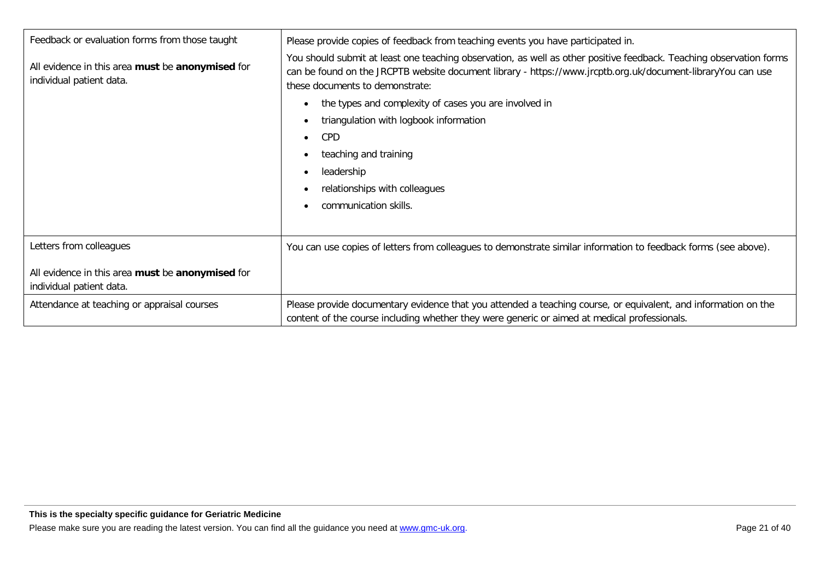| Feedback or evaluation forms from those taught                               | Please provide copies of feedback from teaching events you have participated in.                                                                                                                                                                                      |
|------------------------------------------------------------------------------|-----------------------------------------------------------------------------------------------------------------------------------------------------------------------------------------------------------------------------------------------------------------------|
| All evidence in this area must be anonymised for<br>individual patient data. | You should submit at least one teaching observation, as well as other positive feedback. Teaching observation forms<br>can be found on the JRCPTB website document library - https://www.jrcptb.org.uk/document-libraryYou can use<br>these documents to demonstrate: |
|                                                                              | the types and complexity of cases you are involved in                                                                                                                                                                                                                 |
|                                                                              | triangulation with logbook information                                                                                                                                                                                                                                |
|                                                                              | <b>CPD</b>                                                                                                                                                                                                                                                            |
|                                                                              | teaching and training                                                                                                                                                                                                                                                 |
|                                                                              | leadership                                                                                                                                                                                                                                                            |
|                                                                              | relationships with colleagues                                                                                                                                                                                                                                         |
|                                                                              | communication skills.                                                                                                                                                                                                                                                 |
|                                                                              |                                                                                                                                                                                                                                                                       |
| Letters from colleagues                                                      | You can use copies of letters from colleagues to demonstrate similar information to feedback forms (see above).                                                                                                                                                       |
| All evidence in this area must be anonymised for<br>individual patient data. |                                                                                                                                                                                                                                                                       |
| Attendance at teaching or appraisal courses                                  | Please provide documentary evidence that you attended a teaching course, or equivalent, and information on the<br>content of the course including whether they were generic or aimed at medical professionals.                                                        |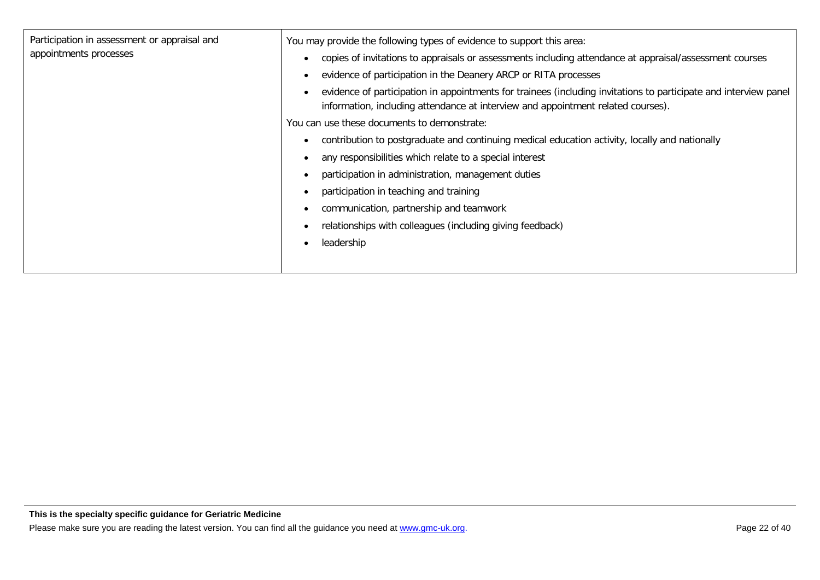| Participation in assessment or appraisal and | You may provide the following types of evidence to support this area:                                                                                                                                |
|----------------------------------------------|------------------------------------------------------------------------------------------------------------------------------------------------------------------------------------------------------|
| appointments processes                       | copies of invitations to appraisals or assessments including attendance at appraisal/assessment courses                                                                                              |
|                                              | evidence of participation in the Deanery ARCP or RITA processes                                                                                                                                      |
|                                              | evidence of participation in appointments for trainees (including invitations to participate and interview panel<br>information, including attendance at interview and appointment related courses). |
|                                              | You can use these documents to demonstrate:                                                                                                                                                          |
|                                              | contribution to postgraduate and continuing medical education activity, locally and nationally                                                                                                       |
|                                              | any responsibilities which relate to a special interest                                                                                                                                              |
|                                              | participation in administration, management duties                                                                                                                                                   |
|                                              | participation in teaching and training                                                                                                                                                               |
|                                              | communication, partnership and teamwork                                                                                                                                                              |
|                                              | relationships with colleagues (including giving feedback)                                                                                                                                            |
|                                              | leadership                                                                                                                                                                                           |
|                                              |                                                                                                                                                                                                      |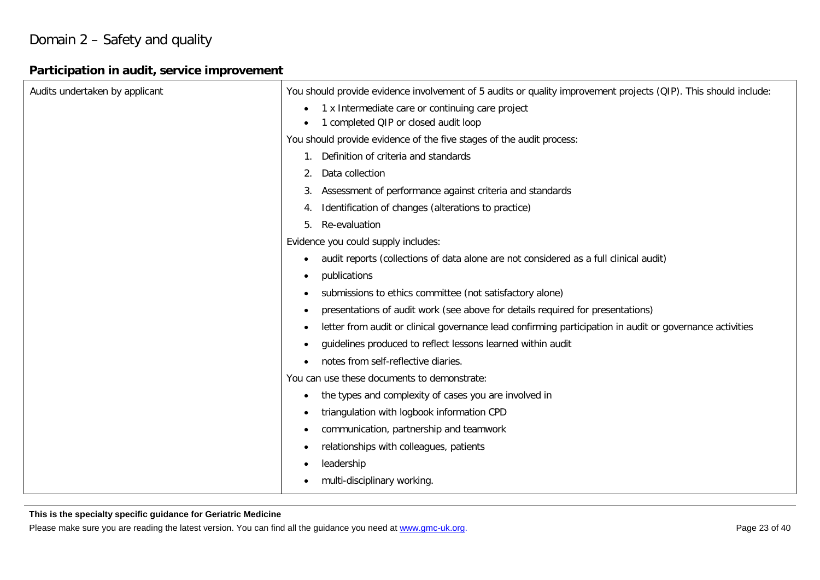## Domain 2 – Safety and quality

## **Participation in audit, service improvement**

| Audits undertaken by applicant | You should provide evidence involvement of 5 audits or quality improvement projects (QIP). This should include:       |
|--------------------------------|-----------------------------------------------------------------------------------------------------------------------|
|                                | 1 x Intermediate care or continuing care project<br>$\bullet$                                                         |
|                                | 1 completed QIP or closed audit loop<br>$\bullet$                                                                     |
|                                | You should provide evidence of the five stages of the audit process:                                                  |
|                                | 1. Definition of criteria and standards                                                                               |
|                                | Data collection<br>2.                                                                                                 |
|                                | Assessment of performance against criteria and standards<br>3.                                                        |
|                                | Identification of changes (alterations to practice)<br>4.                                                             |
|                                | Re-evaluation<br>5.                                                                                                   |
|                                | Evidence you could supply includes:                                                                                   |
|                                | audit reports (collections of data alone are not considered as a full clinical audit)<br>$\bullet$                    |
|                                | publications<br>$\bullet$                                                                                             |
|                                | submissions to ethics committee (not satisfactory alone)<br>$\bullet$                                                 |
|                                | presentations of audit work (see above for details required for presentations)<br>$\bullet$                           |
|                                | letter from audit or clinical governance lead confirming participation in audit or governance activities<br>$\bullet$ |
|                                | guidelines produced to reflect lessons learned within audit<br>$\bullet$                                              |
|                                | notes from self-reflective diaries.<br>$\bullet$                                                                      |
|                                | You can use these documents to demonstrate:                                                                           |
|                                | the types and complexity of cases you are involved in<br>٠                                                            |
|                                | triangulation with logbook information CPD<br>$\bullet$                                                               |
|                                | communication, partnership and teamwork<br>$\bullet$                                                                  |
|                                | relationships with colleagues, patients<br>$\bullet$                                                                  |
|                                | leadership<br>$\bullet$                                                                                               |
|                                | multi-disciplinary working.                                                                                           |

#### **This is the specialty specific guidance for Geriatric Medicine**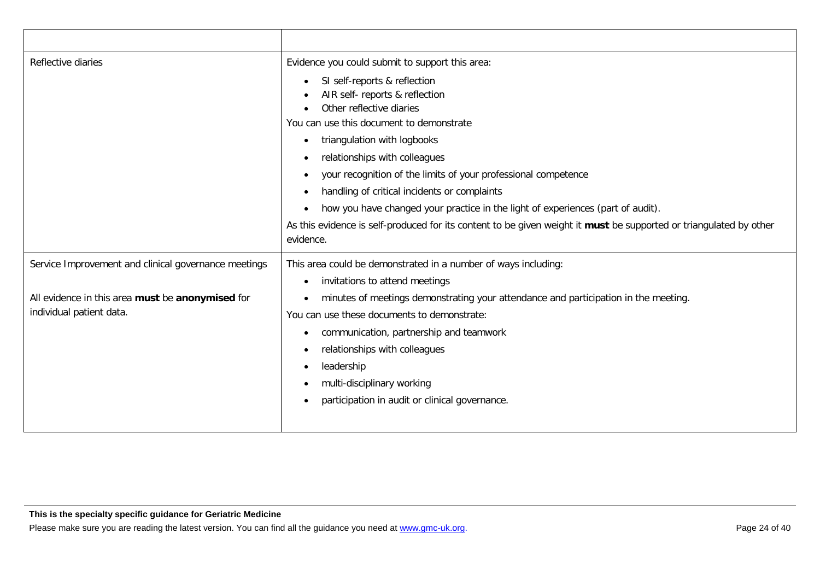| Reflective diaries                                                           | Evidence you could submit to support this area:                                                                                 |
|------------------------------------------------------------------------------|---------------------------------------------------------------------------------------------------------------------------------|
|                                                                              | SI self-reports & reflection                                                                                                    |
|                                                                              | AIR self- reports & reflection<br>Other reflective diaries                                                                      |
|                                                                              | You can use this document to demonstrate                                                                                        |
|                                                                              | triangulation with logbooks<br>$\bullet$                                                                                        |
|                                                                              | relationships with colleagues                                                                                                   |
|                                                                              | your recognition of the limits of your professional competence                                                                  |
|                                                                              | handling of critical incidents or complaints                                                                                    |
|                                                                              | how you have changed your practice in the light of experiences (part of audit).                                                 |
|                                                                              | As this evidence is self-produced for its content to be given weight it must be supported or triangulated by other<br>evidence. |
| Service Improvement and clinical governance meetings                         | This area could be demonstrated in a number of ways including:                                                                  |
|                                                                              | invitations to attend meetings<br>$\bullet$                                                                                     |
| All evidence in this area must be anonymised for<br>individual patient data. | minutes of meetings demonstrating your attendance and participation in the meeting.                                             |
|                                                                              | You can use these documents to demonstrate:                                                                                     |
|                                                                              | communication, partnership and teamwork<br>$\bullet$                                                                            |
|                                                                              | relationships with colleagues<br>$\bullet$                                                                                      |
|                                                                              | leadership                                                                                                                      |
|                                                                              | multi-disciplinary working                                                                                                      |
|                                                                              | participation in audit or clinical governance.                                                                                  |
|                                                                              |                                                                                                                                 |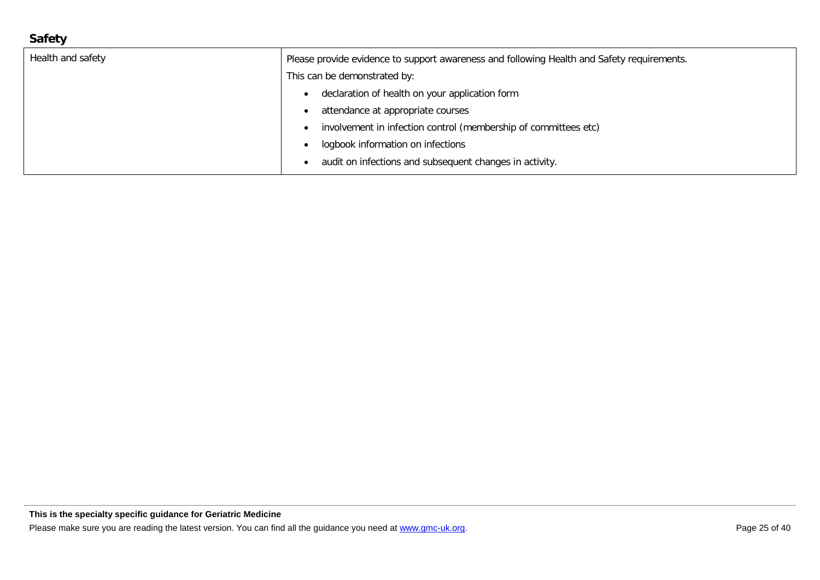## **Safety**

| Health and safety | Please provide evidence to support awareness and following Health and Safety requirements. |
|-------------------|--------------------------------------------------------------------------------------------|
|                   | This can be demonstrated by:                                                               |
|                   | declaration of health on your application form                                             |
|                   | attendance at appropriate courses                                                          |
|                   | involvement in infection control (membership of committees etc)                            |
|                   | logbook information on infections                                                          |
|                   | audit on infections and subsequent changes in activity.                                    |
|                   |                                                                                            |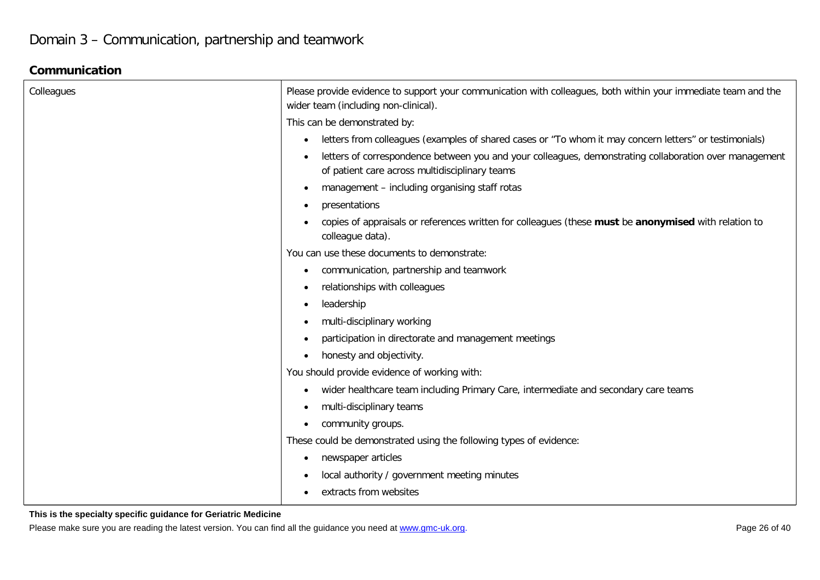## **Communication**

| Colleagues | Please provide evidence to support your communication with colleagues, both within your immediate team and the<br>wider team (including non-clinical).   |
|------------|----------------------------------------------------------------------------------------------------------------------------------------------------------|
|            | This can be demonstrated by:                                                                                                                             |
|            | letters from colleagues (examples of shared cases or "To whom it may concern letters" or testimonials)<br>٠                                              |
|            | letters of correspondence between you and your colleagues, demonstrating collaboration over management<br>of patient care across multidisciplinary teams |
|            | management - including organising staff rotas                                                                                                            |
|            | presentations                                                                                                                                            |
|            | copies of appraisals or references written for colleagues (these must be anonymised with relation to<br>colleague data).                                 |
|            | You can use these documents to demonstrate:                                                                                                              |
|            | communication, partnership and teamwork<br>$\bullet$                                                                                                     |
|            | relationships with colleagues<br>$\bullet$                                                                                                               |
|            | leadership<br>$\bullet$                                                                                                                                  |
|            | multi-disciplinary working<br>$\bullet$                                                                                                                  |
|            | participation in directorate and management meetings<br>$\bullet$                                                                                        |
|            | honesty and objectivity.<br>$\bullet$                                                                                                                    |
|            | You should provide evidence of working with:                                                                                                             |
|            | wider healthcare team including Primary Care, intermediate and secondary care teams<br>٠                                                                 |
|            | multi-disciplinary teams<br>$\bullet$                                                                                                                    |
|            | community groups.<br>$\bullet$                                                                                                                           |
|            | These could be demonstrated using the following types of evidence:                                                                                       |
|            | newspaper articles<br>$\bullet$                                                                                                                          |
|            | local authority / government meeting minutes<br>$\bullet$                                                                                                |
|            | extracts from websites<br>$\bullet$                                                                                                                      |

#### **This is the specialty specific guidance for Geriatric Medicine**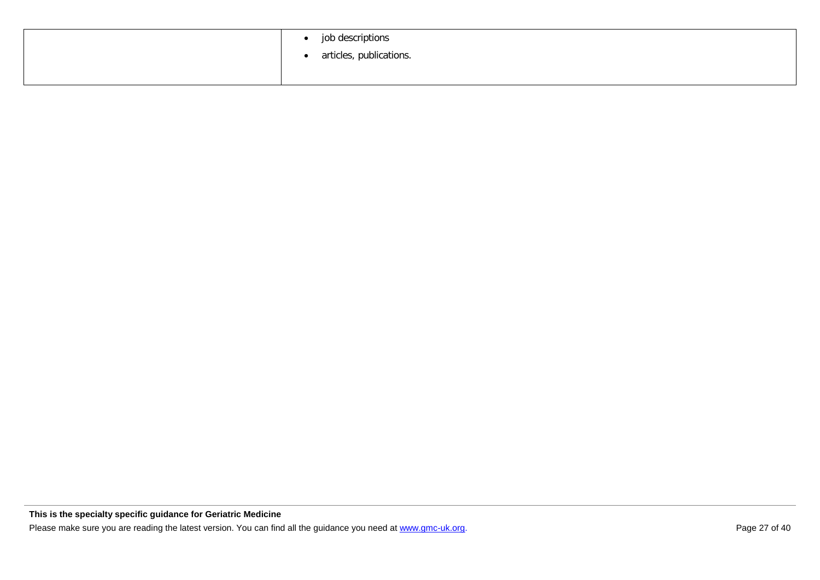| job descriptions<br>$\bullet$<br>• articles, publications. |
|------------------------------------------------------------|
|                                                            |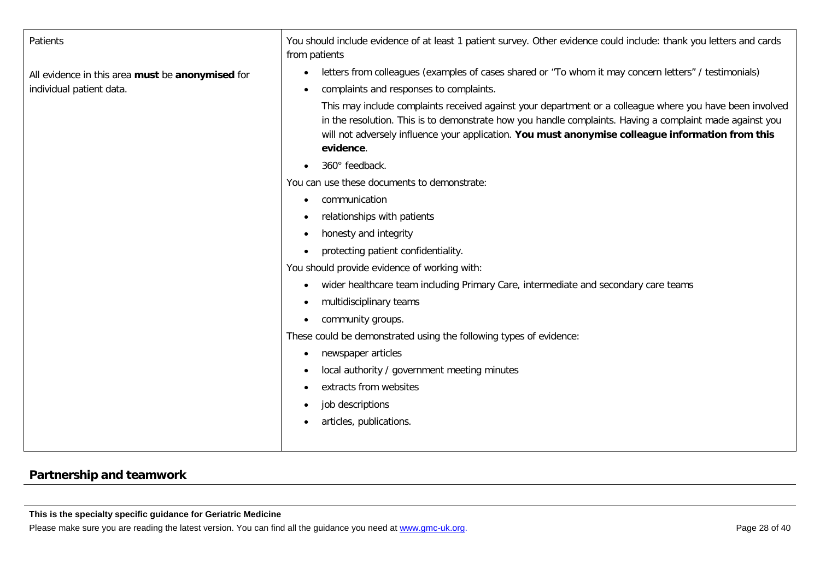| Patients                                         | You should include evidence of at least 1 patient survey. Other evidence could include: thank you letters and cards<br>from patients                                                                                                                                                                                                   |
|--------------------------------------------------|----------------------------------------------------------------------------------------------------------------------------------------------------------------------------------------------------------------------------------------------------------------------------------------------------------------------------------------|
| All evidence in this area must be anonymised for | letters from colleagues (examples of cases shared or "To whom it may concern letters" / testimonials)                                                                                                                                                                                                                                  |
| individual patient data.                         | complaints and responses to complaints.<br>$\bullet$                                                                                                                                                                                                                                                                                   |
|                                                  | This may include complaints received against your department or a colleague where you have been involved<br>in the resolution. This is to demonstrate how you handle complaints. Having a complaint made against you<br>will not adversely influence your application. You must anonymise colleague information from this<br>evidence. |
|                                                  | 360° feedback.                                                                                                                                                                                                                                                                                                                         |
|                                                  | You can use these documents to demonstrate:                                                                                                                                                                                                                                                                                            |
|                                                  | communication<br>$\bullet$                                                                                                                                                                                                                                                                                                             |
|                                                  | relationships with patients<br>$\bullet$                                                                                                                                                                                                                                                                                               |
|                                                  | honesty and integrity<br>$\bullet$                                                                                                                                                                                                                                                                                                     |
|                                                  | protecting patient confidentiality.<br>$\bullet$                                                                                                                                                                                                                                                                                       |
|                                                  | You should provide evidence of working with:                                                                                                                                                                                                                                                                                           |
|                                                  | wider healthcare team including Primary Care, intermediate and secondary care teams<br>$\bullet$                                                                                                                                                                                                                                       |
|                                                  | multidisciplinary teams<br>$\bullet$                                                                                                                                                                                                                                                                                                   |
|                                                  | community groups.                                                                                                                                                                                                                                                                                                                      |
|                                                  | These could be demonstrated using the following types of evidence:                                                                                                                                                                                                                                                                     |
|                                                  | newspaper articles<br>$\bullet$                                                                                                                                                                                                                                                                                                        |
|                                                  | local authority / government meeting minutes                                                                                                                                                                                                                                                                                           |
|                                                  | extracts from websites                                                                                                                                                                                                                                                                                                                 |
|                                                  | job descriptions<br>$\bullet$                                                                                                                                                                                                                                                                                                          |
|                                                  | articles, publications.<br>$\bullet$                                                                                                                                                                                                                                                                                                   |
|                                                  |                                                                                                                                                                                                                                                                                                                                        |

## **Partnership and teamwork**

**This is the specialty specific guidance for Geriatric Medicine**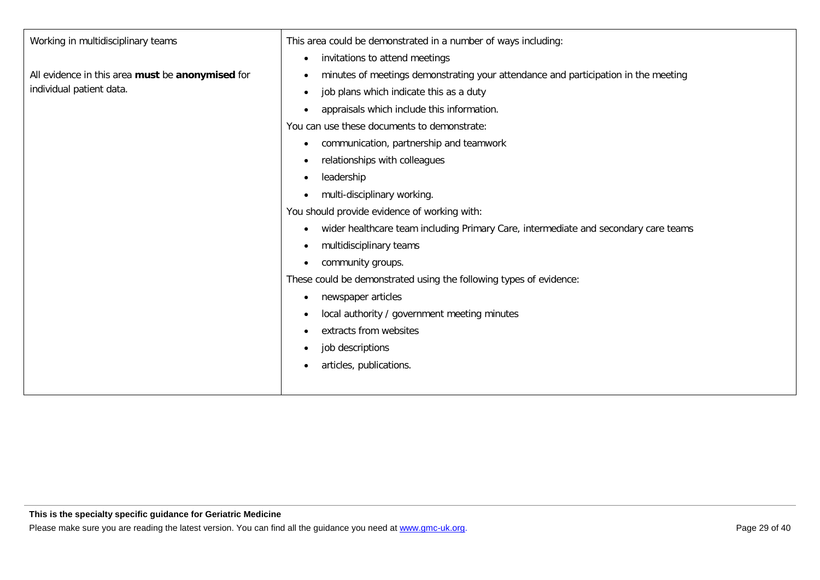| Working in multidisciplinary teams               | This area could be demonstrated in a number of ways including:                                   |
|--------------------------------------------------|--------------------------------------------------------------------------------------------------|
|                                                  | invitations to attend meetings<br>$\bullet$                                                      |
| All evidence in this area must be anonymised for | minutes of meetings demonstrating your attendance and participation in the meeting<br>$\bullet$  |
| individual patient data.                         | job plans which indicate this as a duty<br>$\bullet$                                             |
|                                                  | appraisals which include this information.<br>$\bullet$                                          |
|                                                  | You can use these documents to demonstrate:                                                      |
|                                                  | communication, partnership and teamwork<br>$\bullet$                                             |
|                                                  | relationships with colleagues<br>$\bullet$                                                       |
|                                                  | leadership<br>$\bullet$                                                                          |
|                                                  | multi-disciplinary working.<br>$\bullet$                                                         |
|                                                  | You should provide evidence of working with:                                                     |
|                                                  | wider healthcare team including Primary Care, intermediate and secondary care teams<br>$\bullet$ |
|                                                  | multidisciplinary teams<br>$\bullet$                                                             |
|                                                  | community groups.<br>$\bullet$                                                                   |
|                                                  | These could be demonstrated using the following types of evidence:                               |
|                                                  | newspaper articles<br>٠                                                                          |
|                                                  | local authority / government meeting minutes<br>$\bullet$                                        |
|                                                  | extracts from websites<br>$\bullet$                                                              |
|                                                  | job descriptions<br>$\bullet$                                                                    |
|                                                  | articles, publications.<br>$\bullet$                                                             |
|                                                  |                                                                                                  |
|                                                  |                                                                                                  |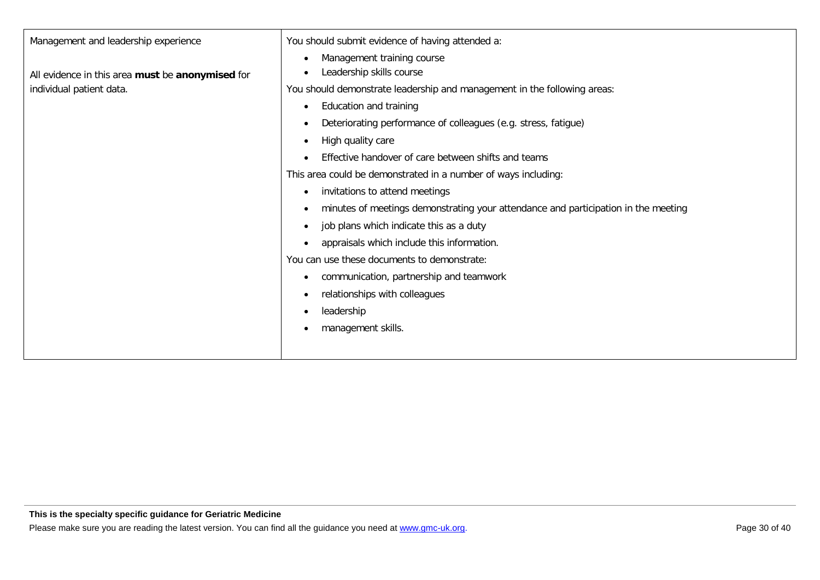| Management and leadership experience             | You should submit evidence of having attended a:                                                |
|--------------------------------------------------|-------------------------------------------------------------------------------------------------|
| All evidence in this area must be anonymised for | Management training course<br>$\bullet$<br>Leadership skills course<br>$\bullet$                |
| individual patient data.                         | You should demonstrate leadership and management in the following areas:                        |
|                                                  | Education and training<br>$\bullet$                                                             |
|                                                  | Deteriorating performance of colleagues (e.g. stress, fatigue)<br>$\bullet$                     |
|                                                  | High quality care<br>$\bullet$                                                                  |
|                                                  | Effective handover of care between shifts and teams<br>$\bullet$                                |
|                                                  | This area could be demonstrated in a number of ways including:                                  |
|                                                  | invitations to attend meetings<br>$\bullet$                                                     |
|                                                  | minutes of meetings demonstrating your attendance and participation in the meeting<br>$\bullet$ |
|                                                  | job plans which indicate this as a duty<br>$\bullet$                                            |
|                                                  | appraisals which include this information.<br>$\bullet$                                         |
|                                                  | You can use these documents to demonstrate:                                                     |
|                                                  | communication, partnership and teamwork<br>٠                                                    |
|                                                  | relationships with colleagues<br>$\bullet$                                                      |
|                                                  | leadership<br>$\bullet$                                                                         |
|                                                  | management skills.                                                                              |
|                                                  |                                                                                                 |
|                                                  |                                                                                                 |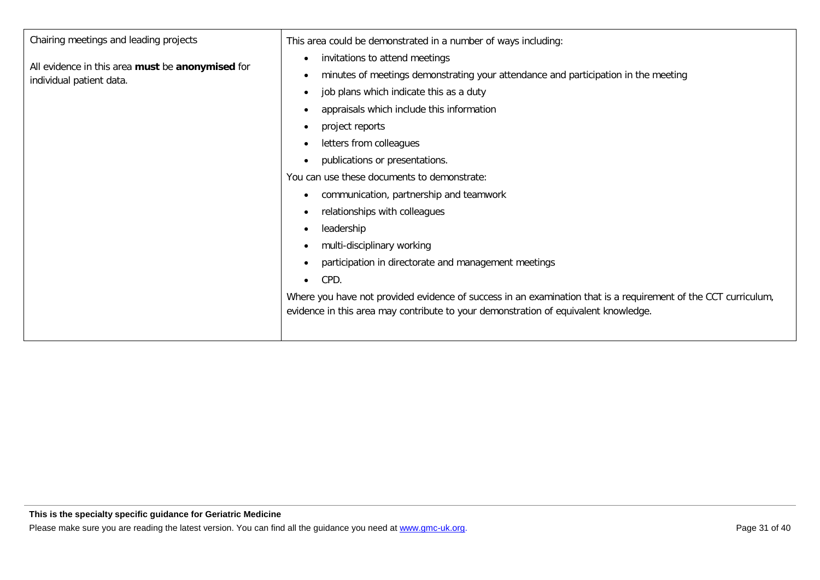| Chairing meetings and leading projects                                       | This area could be demonstrated in a number of ways including:                                                 |  |  |  |
|------------------------------------------------------------------------------|----------------------------------------------------------------------------------------------------------------|--|--|--|
|                                                                              | invitations to attend meetings<br>$\bullet$                                                                    |  |  |  |
| All evidence in this area must be anonymised for<br>individual patient data. | minutes of meetings demonstrating your attendance and participation in the meeting<br>$\bullet$                |  |  |  |
|                                                                              | job plans which indicate this as a duty<br>$\bullet$                                                           |  |  |  |
|                                                                              | appraisals which include this information<br>$\bullet$                                                         |  |  |  |
|                                                                              | project reports<br>$\bullet$                                                                                   |  |  |  |
|                                                                              | letters from colleagues<br>$\bullet$                                                                           |  |  |  |
|                                                                              | publications or presentations.<br>$\bullet$                                                                    |  |  |  |
|                                                                              | You can use these documents to demonstrate:                                                                    |  |  |  |
|                                                                              | communication, partnership and teamwork<br>$\bullet$                                                           |  |  |  |
|                                                                              | relationships with colleagues<br>$\bullet$                                                                     |  |  |  |
|                                                                              | leadership<br>$\bullet$                                                                                        |  |  |  |
|                                                                              | multi-disciplinary working<br>$\bullet$                                                                        |  |  |  |
|                                                                              | participation in directorate and management meetings<br>$\bullet$                                              |  |  |  |
|                                                                              | CPD.<br>$\bullet$                                                                                              |  |  |  |
|                                                                              | Where you have not provided evidence of success in an examination that is a requirement of the CCT curriculum, |  |  |  |
|                                                                              | evidence in this area may contribute to your demonstration of equivalent knowledge.                            |  |  |  |
|                                                                              |                                                                                                                |  |  |  |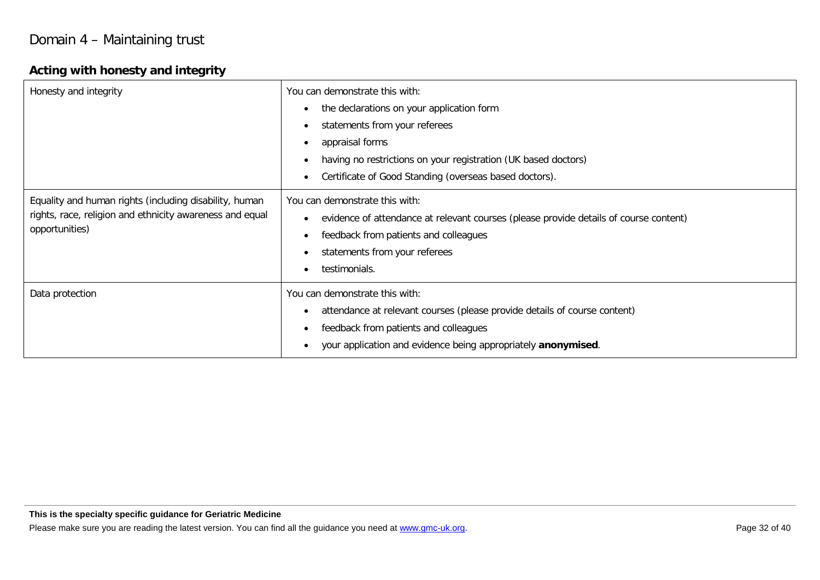## **Acting with honesty and integrity**

| Honesty and integrity                                                                                                                | You can demonstrate this with:<br>the declarations on your application form<br>$\bullet$<br>statements from your referees<br>$\bullet$<br>appraisal forms<br>$\bullet$<br>having no restrictions on your registration (UK based doctors)<br>Certificate of Good Standing (overseas based doctors). |
|--------------------------------------------------------------------------------------------------------------------------------------|----------------------------------------------------------------------------------------------------------------------------------------------------------------------------------------------------------------------------------------------------------------------------------------------------|
| Equality and human rights (including disability, human<br>rights, race, religion and ethnicity awareness and equal<br>opportunities) | You can demonstrate this with:<br>evidence of attendance at relevant courses (please provide details of course content)<br>$\bullet$<br>feedback from patients and colleagues<br>$\bullet$<br>statements from your referees<br>testimonials.                                                       |
| Data protection                                                                                                                      | You can demonstrate this with:<br>attendance at relevant courses (please provide details of course content)<br>$\bullet$<br>feedback from patients and colleagues<br>$\bullet$<br>your application and evidence being appropriately anonymised.                                                    |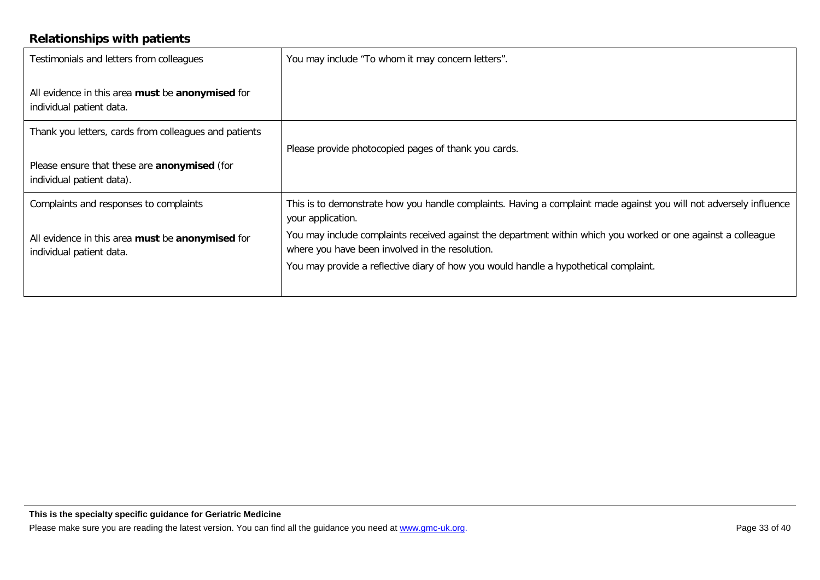## **Relationships with patients**

| Testimonials and letters from colleagues                                         | You may include "To whom it may concern letters".                                                                                                                |
|----------------------------------------------------------------------------------|------------------------------------------------------------------------------------------------------------------------------------------------------------------|
| All evidence in this area must be anonymised for<br>individual patient data.     |                                                                                                                                                                  |
| Thank you letters, cards from colleagues and patients                            |                                                                                                                                                                  |
|                                                                                  | Please provide photocopied pages of thank you cards.                                                                                                             |
| Please ensure that these are <b>anonymised</b> (for<br>individual patient data). |                                                                                                                                                                  |
| Complaints and responses to complaints                                           | This is to demonstrate how you handle complaints. Having a complaint made against you will not adversely influence<br>your application.                          |
| All evidence in this area must be anonymised for<br>individual patient data.     | You may include complaints received against the department within which you worked or one against a colleague<br>where you have been involved in the resolution. |
|                                                                                  | You may provide a reflective diary of how you would handle a hypothetical complaint.                                                                             |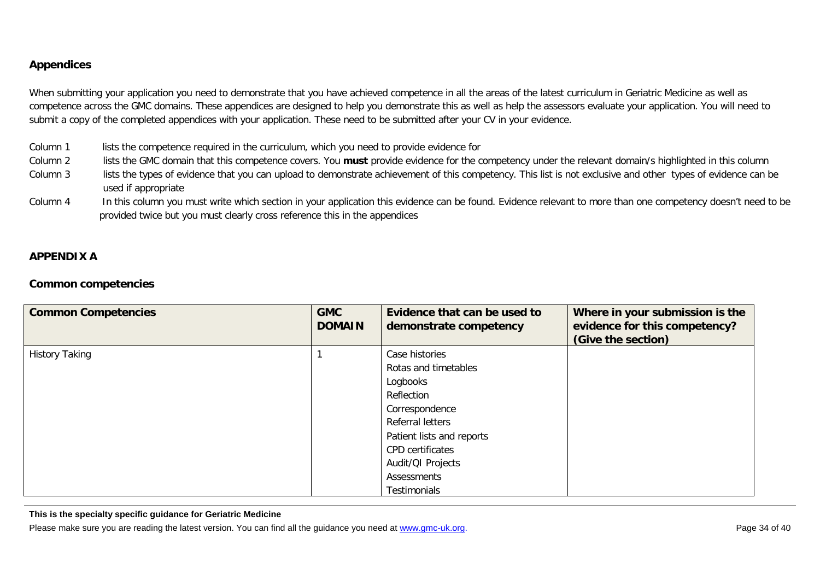#### <span id="page-33-0"></span>**Appendices**

When submitting your application you need to demonstrate that you have achieved competence in all the areas of the latest curriculum in Geriatric Medicine as well as competence across the GMC domains. These appendices are designed to help you demonstrate this as well as help the assessors evaluate your application. You will need to submit a copy of the completed appendices with your application. These need to be submitted after your CV in your evidence.

- Column 1 lists the competence required in the curriculum, which you need to provide evidence for
- Column 2 lists the GMC domain that this competence covers. You **must** provide evidence for the competency under the relevant domain/s highlighted in this column
- Column 3 lists the types of evidence that you can upload to demonstrate achievement of this competency. This list is not exclusive and other types of evidence can be used if appropriate
- Column 4 In this column you must write which section in your application this evidence can be found. Evidence relevant to more than one competency doesn't need to be provided twice but you must clearly cross reference this in the appendices

#### **APPENDIX A**

#### **Common competencies**

| <b>Common Competencies</b> | <b>GMC</b><br><b>DOMAIN</b> | Evidence that can be used to<br>demonstrate competency | Where in your submission is the<br>evidence for this competency?<br>(Give the section) |
|----------------------------|-----------------------------|--------------------------------------------------------|----------------------------------------------------------------------------------------|
| <b>History Taking</b>      |                             | Case histories                                         |                                                                                        |
|                            |                             | Rotas and timetables                                   |                                                                                        |
|                            |                             | Logbooks                                               |                                                                                        |
|                            |                             | Reflection                                             |                                                                                        |
|                            |                             | Correspondence                                         |                                                                                        |
|                            |                             | Referral letters                                       |                                                                                        |
|                            |                             | Patient lists and reports                              |                                                                                        |
|                            |                             | <b>CPD</b> certificates                                |                                                                                        |
|                            |                             | Audit/QI Projects                                      |                                                                                        |
|                            |                             | Assessments                                            |                                                                                        |
|                            |                             | <b>Testimonials</b>                                    |                                                                                        |

**This is the specialty specific guidance for Geriatric Medicine**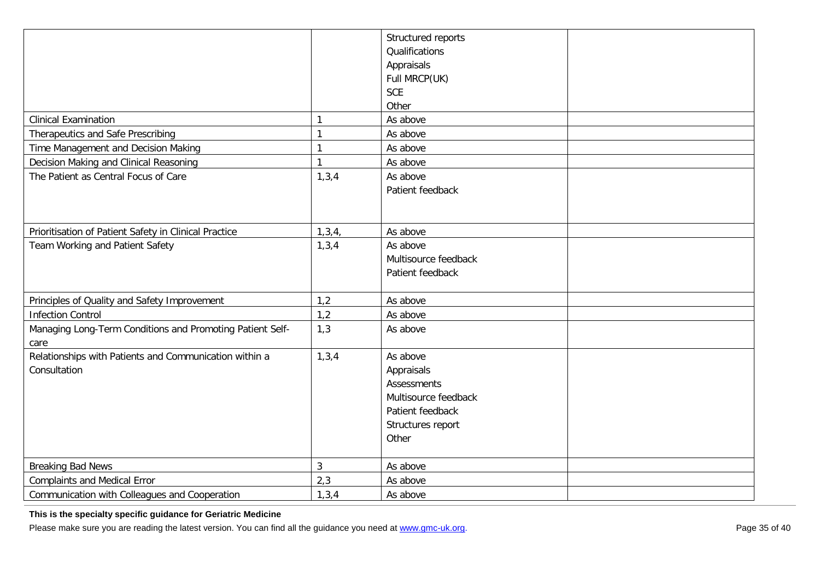|                                                                        |                | Structured reports<br>Qualifications<br>Appraisals<br>Full MRCP(UK)<br><b>SCE</b><br>Other                             |
|------------------------------------------------------------------------|----------------|------------------------------------------------------------------------------------------------------------------------|
| <b>Clinical Examination</b>                                            | 1              | As above                                                                                                               |
| Therapeutics and Safe Prescribing                                      | 1              | As above                                                                                                               |
| Time Management and Decision Making                                    | 1              | As above                                                                                                               |
| Decision Making and Clinical Reasoning                                 | $\mathbf{1}$   | As above                                                                                                               |
| The Patient as Central Focus of Care                                   | 1, 3, 4        | As above<br>Patient feedback                                                                                           |
| Prioritisation of Patient Safety in Clinical Practice                  | 1, 3, 4,       | As above                                                                                                               |
| Team Working and Patient Safety                                        | 1, 3, 4        | As above<br>Multisource feedback<br>Patient feedback                                                                   |
| Principles of Quality and Safety Improvement                           | 1,2            | As above                                                                                                               |
| <b>Infection Control</b>                                               | 1,2            | As above                                                                                                               |
| Managing Long-Term Conditions and Promoting Patient Self-<br>care      | 1,3            | As above                                                                                                               |
| Relationships with Patients and Communication within a<br>Consultation | 1, 3, 4        | As above<br>Appraisals<br><b>Assessments</b><br>Multisource feedback<br>Patient feedback<br>Structures report<br>Other |
| <b>Breaking Bad News</b>                                               | $\mathfrak{Z}$ | As above                                                                                                               |
| <b>Complaints and Medical Error</b>                                    | 2,3            | As above                                                                                                               |
| Communication with Colleagues and Cooperation                          | 1, 3, 4        | As above                                                                                                               |

**This is the specialty specific guidance for Geriatric Medicine**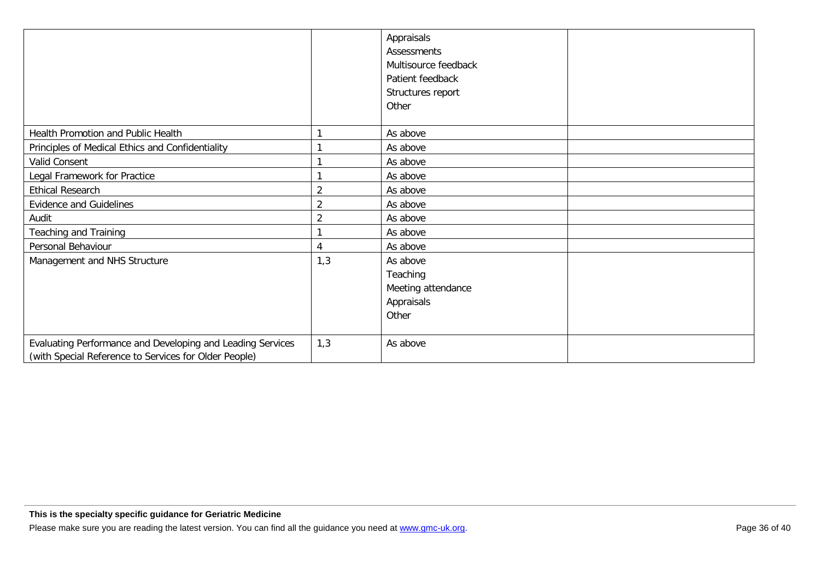|                                                                                                                     |                | Appraisals<br><b>Assessments</b><br>Multisource feedback<br>Patient feedback<br>Structures report<br>Other |
|---------------------------------------------------------------------------------------------------------------------|----------------|------------------------------------------------------------------------------------------------------------|
| Health Promotion and Public Health                                                                                  |                | As above                                                                                                   |
| Principles of Medical Ethics and Confidentiality                                                                    |                | As above                                                                                                   |
| Valid Consent                                                                                                       |                | As above                                                                                                   |
| Legal Framework for Practice                                                                                        |                | As above                                                                                                   |
| <b>Ethical Research</b>                                                                                             | $\overline{2}$ | As above                                                                                                   |
| <b>Evidence and Guidelines</b>                                                                                      | $\overline{2}$ | As above                                                                                                   |
| Audit                                                                                                               | $\overline{2}$ | As above                                                                                                   |
| Teaching and Training                                                                                               |                | As above                                                                                                   |
| Personal Behaviour                                                                                                  | 4              | As above                                                                                                   |
| Management and NHS Structure                                                                                        | 1,3            | As above<br>Teaching<br>Meeting attendance<br>Appraisals<br>Other                                          |
| Evaluating Performance and Developing and Leading Services<br>(with Special Reference to Services for Older People) | 1,3            | As above                                                                                                   |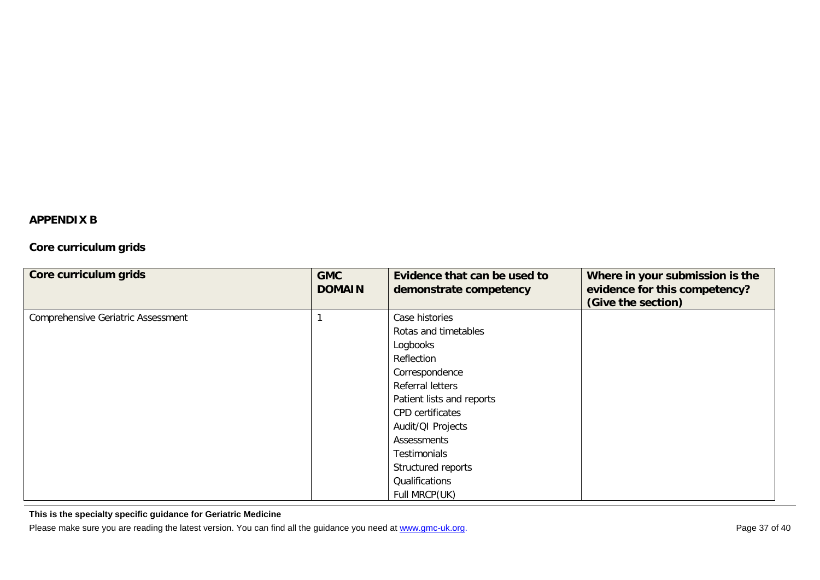#### <span id="page-36-0"></span>**APPENDIX B**

### **Core curriculum grids**

| Core curriculum grids                     | <b>GMC</b><br><b>DOMAIN</b> | Evidence that can be used to<br>demonstrate competency | Where in your submission is the<br>evidence for this competency?<br>(Give the section) |
|-------------------------------------------|-----------------------------|--------------------------------------------------------|----------------------------------------------------------------------------------------|
| <b>Comprehensive Geriatric Assessment</b> |                             | Case histories                                         |                                                                                        |
|                                           |                             | Rotas and timetables                                   |                                                                                        |
|                                           |                             | Logbooks                                               |                                                                                        |
|                                           |                             | Reflection                                             |                                                                                        |
|                                           |                             | Correspondence                                         |                                                                                        |
|                                           |                             | Referral letters                                       |                                                                                        |
|                                           |                             | Patient lists and reports                              |                                                                                        |
|                                           |                             | <b>CPD</b> certificates                                |                                                                                        |
|                                           |                             | Audit/QI Projects                                      |                                                                                        |
|                                           |                             | Assessments                                            |                                                                                        |
|                                           |                             | Testimonials                                           |                                                                                        |
|                                           |                             | Structured reports                                     |                                                                                        |
|                                           |                             | Qualifications                                         |                                                                                        |
|                                           |                             | Full MRCP(UK)                                          |                                                                                        |

**This is the specialty specific guidance for Geriatric Medicine**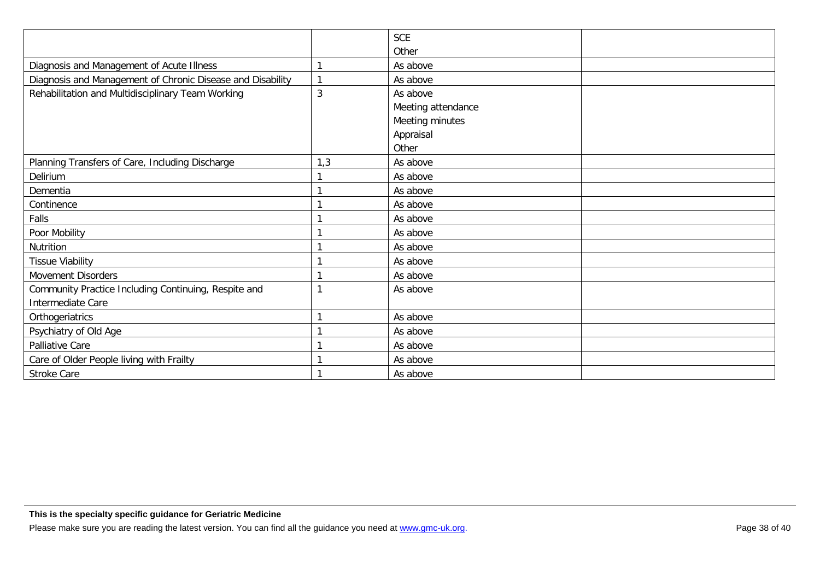|                                                            |     | <b>SCE</b>         |  |
|------------------------------------------------------------|-----|--------------------|--|
|                                                            |     | Other              |  |
| Diagnosis and Management of Acute Illness                  |     | As above           |  |
| Diagnosis and Management of Chronic Disease and Disability |     | As above           |  |
| Rehabilitation and Multidisciplinary Team Working          | 3   | As above           |  |
|                                                            |     | Meeting attendance |  |
|                                                            |     | Meeting minutes    |  |
|                                                            |     | Appraisal          |  |
|                                                            |     | Other              |  |
| Planning Transfers of Care, Including Discharge            | 1,3 | As above           |  |
| Delirium                                                   |     | As above           |  |
| Dementia                                                   |     | As above           |  |
| Continence                                                 |     | As above           |  |
| Falls                                                      |     | As above           |  |
| Poor Mobility                                              |     | As above           |  |
| Nutrition                                                  |     | As above           |  |
| <b>Tissue Viability</b>                                    |     | As above           |  |
| <b>Movement Disorders</b>                                  |     | As above           |  |
| Community Practice Including Continuing, Respite and       |     | As above           |  |
| Intermediate Care                                          |     |                    |  |
| Orthogeriatrics                                            |     | As above           |  |
| Psychiatry of Old Age                                      |     | As above           |  |
| Palliative Care                                            |     | As above           |  |
| Care of Older People living with Frailty                   |     | As above           |  |
| Stroke Care                                                |     | As above           |  |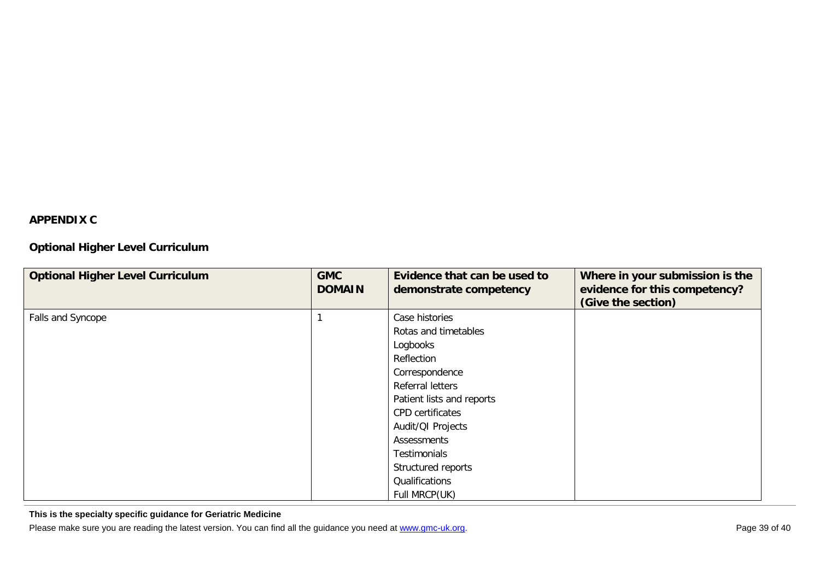### <span id="page-38-0"></span>**APPENDIX C**

### **Optional Higher Level Curriculum**

| <b>Optional Higher Level Curriculum</b> | <b>GMC</b><br><b>DOMAIN</b> | Evidence that can be used to<br>demonstrate competency | Where in your submission is the<br>evidence for this competency?<br>(Give the section) |
|-----------------------------------------|-----------------------------|--------------------------------------------------------|----------------------------------------------------------------------------------------|
| Falls and Syncope                       |                             | Case histories                                         |                                                                                        |
|                                         |                             | Rotas and timetables                                   |                                                                                        |
|                                         |                             | Logbooks                                               |                                                                                        |
|                                         |                             | Reflection                                             |                                                                                        |
|                                         |                             | Correspondence                                         |                                                                                        |
|                                         |                             | Referral letters                                       |                                                                                        |
|                                         |                             | Patient lists and reports                              |                                                                                        |
|                                         |                             | <b>CPD</b> certificates                                |                                                                                        |
|                                         |                             | Audit/QI Projects                                      |                                                                                        |
|                                         |                             | Assessments                                            |                                                                                        |
|                                         |                             | Testimonials                                           |                                                                                        |
|                                         |                             | Structured reports                                     |                                                                                        |
|                                         |                             | Qualifications                                         |                                                                                        |
|                                         |                             | Full MRCP(UK)                                          |                                                                                        |

**This is the specialty specific guidance for Geriatric Medicine**